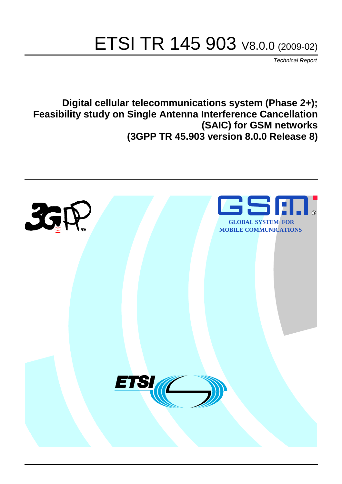# ETSI TR 145 903 V8.0.0 (2009-02)

*Technical Report*

**Digital cellular telecommunications system (Phase 2+); Feasibility study on Single Antenna Interference Cancellation (SAIC) for GSM networks (3GPP TR 45.903 version 8.0.0 Release 8)**

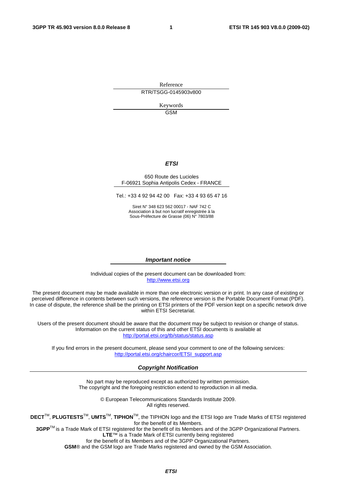Reference RTR/TSGG-0145903v800

> Keywords GSM

#### *ETSI*

#### 650 Route des Lucioles F-06921 Sophia Antipolis Cedex - FRANCE

Tel.: +33 4 92 94 42 00 Fax: +33 4 93 65 47 16

Siret N° 348 623 562 00017 - NAF 742 C Association à but non lucratif enregistrée à la Sous-Préfecture de Grasse (06) N° 7803/88

#### *Important notice*

Individual copies of the present document can be downloaded from: [http://www.etsi.org](http://www.etsi.org/)

The present document may be made available in more than one electronic version or in print. In any case of existing or perceived difference in contents between such versions, the reference version is the Portable Document Format (PDF). In case of dispute, the reference shall be the printing on ETSI printers of the PDF version kept on a specific network drive within ETSI Secretariat.

Users of the present document should be aware that the document may be subject to revision or change of status. Information on the current status of this and other ETSI documents is available at <http://portal.etsi.org/tb/status/status.asp>

If you find errors in the present document, please send your comment to one of the following services: [http://portal.etsi.org/chaircor/ETSI\\_support.asp](http://portal.etsi.org/chaircor/ETSI_support.asp)

#### *Copyright Notification*

No part may be reproduced except as authorized by written permission. The copyright and the foregoing restriction extend to reproduction in all media.

> © European Telecommunications Standards Institute 2009. All rights reserved.

**DECT**TM, **PLUGTESTS**TM, **UMTS**TM, **TIPHON**TM, the TIPHON logo and the ETSI logo are Trade Marks of ETSI registered for the benefit of its Members.

**3GPP**TM is a Trade Mark of ETSI registered for the benefit of its Members and of the 3GPP Organizational Partners. **LTE**™ is a Trade Mark of ETSI currently being registered

for the benefit of its Members and of the 3GPP Organizational Partners.

**GSM**® and the GSM logo are Trade Marks registered and owned by the GSM Association.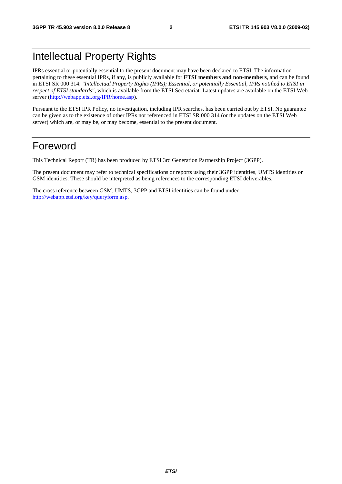# Intellectual Property Rights

IPRs essential or potentially essential to the present document may have been declared to ETSI. The information pertaining to these essential IPRs, if any, is publicly available for **ETSI members and non-members**, and can be found in ETSI SR 000 314: *"Intellectual Property Rights (IPRs); Essential, or potentially Essential, IPRs notified to ETSI in respect of ETSI standards"*, which is available from the ETSI Secretariat. Latest updates are available on the ETSI Web server ([http://webapp.etsi.org/IPR/home.asp\)](http://webapp.etsi.org/IPR/home.asp).

Pursuant to the ETSI IPR Policy, no investigation, including IPR searches, has been carried out by ETSI. No guarantee can be given as to the existence of other IPRs not referenced in ETSI SR 000 314 (or the updates on the ETSI Web server) which are, or may be, or may become, essential to the present document.

# Foreword

This Technical Report (TR) has been produced by ETSI 3rd Generation Partnership Project (3GPP).

The present document may refer to technical specifications or reports using their 3GPP identities, UMTS identities or GSM identities. These should be interpreted as being references to the corresponding ETSI deliverables.

The cross reference between GSM, UMTS, 3GPP and ETSI identities can be found under [http://webapp.etsi.org/key/queryform.asp.](http://webapp.etsi.org/key/queryform.asp)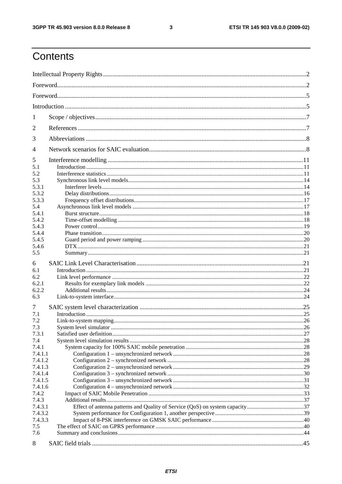#### $\mathbf{3}$

# Contents

| 1              |  |  |  |  |  |
|----------------|--|--|--|--|--|
| 2              |  |  |  |  |  |
| 3              |  |  |  |  |  |
| $\overline{4}$ |  |  |  |  |  |
| 5              |  |  |  |  |  |
| 5.1            |  |  |  |  |  |
| 5.2            |  |  |  |  |  |
| 5.3            |  |  |  |  |  |
| 5.3.1          |  |  |  |  |  |
|                |  |  |  |  |  |
| 5.3.2          |  |  |  |  |  |
| 5.3.3          |  |  |  |  |  |
| 5.4            |  |  |  |  |  |
| 5.4.1          |  |  |  |  |  |
| 5.4.2          |  |  |  |  |  |
| 5.4.3          |  |  |  |  |  |
| 5.4.4          |  |  |  |  |  |
| 5.4.5          |  |  |  |  |  |
| 5.4.6          |  |  |  |  |  |
| 5.5            |  |  |  |  |  |
| 6              |  |  |  |  |  |
|                |  |  |  |  |  |
| 6.1            |  |  |  |  |  |
| 6.2            |  |  |  |  |  |
| 6.2.1          |  |  |  |  |  |
| 6.2.2          |  |  |  |  |  |
| 6.3            |  |  |  |  |  |
| 7              |  |  |  |  |  |
| 7.1            |  |  |  |  |  |
| 7.2            |  |  |  |  |  |
| 7.3            |  |  |  |  |  |
| 7.3.1          |  |  |  |  |  |
|                |  |  |  |  |  |
| 7.4            |  |  |  |  |  |
| 7.4.1          |  |  |  |  |  |
| 7.4.1.1        |  |  |  |  |  |
| 7.4.1.2        |  |  |  |  |  |
| 7.4.1.3        |  |  |  |  |  |
| 7.4.1.4        |  |  |  |  |  |
| 7.4.1.5        |  |  |  |  |  |
| 7.4.1.6        |  |  |  |  |  |
| 7.4.2          |  |  |  |  |  |
| 7.4.3          |  |  |  |  |  |
| 7.4.3.1        |  |  |  |  |  |
| 7.4.3.2        |  |  |  |  |  |
| 7.4.3.3        |  |  |  |  |  |
| 7.5            |  |  |  |  |  |
| 7.6            |  |  |  |  |  |
| 8              |  |  |  |  |  |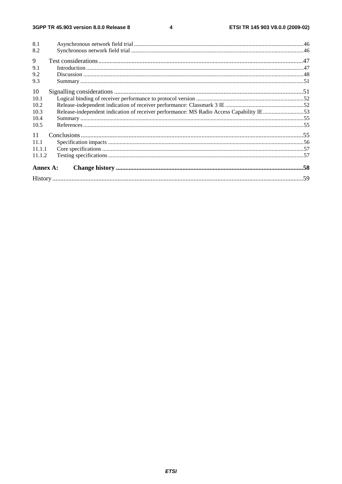$\overline{\mathbf{4}}$ 

| 8.1      |                                                                                         |  |
|----------|-----------------------------------------------------------------------------------------|--|
| 8.2      |                                                                                         |  |
| 9        |                                                                                         |  |
| 9.1      |                                                                                         |  |
| 9.2      |                                                                                         |  |
| 9.3      |                                                                                         |  |
| 10       |                                                                                         |  |
| 10.1     |                                                                                         |  |
| 10.2     |                                                                                         |  |
| 10.3     | Release-independent indication of receiver performance: MS Radio Access Capability IE53 |  |
| 10.4     |                                                                                         |  |
| 10.5     |                                                                                         |  |
| 11       |                                                                                         |  |
| 11.1     |                                                                                         |  |
| 11.1.1   |                                                                                         |  |
| 11.1.2   |                                                                                         |  |
| Annex A: |                                                                                         |  |
|          |                                                                                         |  |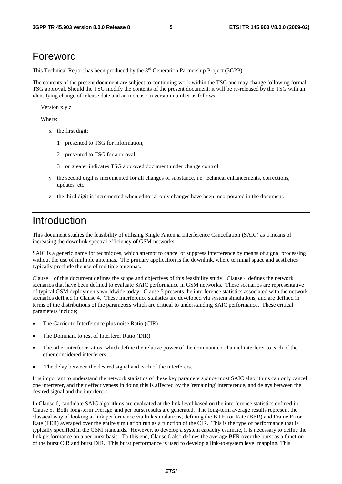# Foreword

This Technical Report has been produced by the  $3<sup>rd</sup>$  Generation Partnership Project (3GPP).

The contents of the present document are subject to continuing work within the TSG and may change following formal TSG approval. Should the TSG modify the contents of the present document, it will be re-released by the TSG with an identifying change of release date and an increase in version number as follows:

Version x.y.z

Where:

- x the first digit:
	- 1 presented to TSG for information;
	- 2 presented to TSG for approval;
	- 3 or greater indicates TSG approved document under change control.
- y the second digit is incremented for all changes of substance, i.e. technical enhancements, corrections, updates, etc.
- z the third digit is incremented when editorial only changes have been incorporated in the document.

# Introduction

This document studies the feasibility of utilising Single Antenna Interference Cancellation (SAIC) as a means of increasing the downlink spectral efficiency of GSM networks.

SAIC is a generic name for techniques, which attempt to cancel or suppress interference by means of signal processing without the use of multiple antennas. The primary application is the downlink, where terminal space and aesthetics typically preclude the use of multiple antennas.

Clause 1 of this document defines the scope and objectives of this feasibility study. Clause 4 defines the network scenarios that have been defined to evaluate SAIC performance in GSM networks. These scenarios are representative of typical GSM deployments worldwide today. Clause 5 presents the interference statistics associated with the network scenarios defined in Clause 4. These interference statistics are developed via system simulations, and are defined in terms of the distributions of the parameters which are critical to understanding SAIC performance. These critical parameters include;

- The Carrier to Interference plus noise Ratio (CIR)
- The Dominant to rest of Interferer Ratio (DIR)
- The other interferer ratios, which define the relative power of the dominant co-channel interferer to each of the other considered interferers
- The delay between the desired signal and each of the interferers.

It is important to understand the network statistics of these key parameters since most SAIC algorithms can only cancel one interferer, and their effectiveness in doing this is affected by the 'remaining' interference, and delays between the desired signal and the interferers.

In Clause 6, candidate SAIC algorithms are evaluated at the link level based on the interference statistics defined in Clause 5. Both 'long-term average' and per burst results are generated. The long-term average results represent the classical way of looking at link performance via link simulations, defining the Bit Error Rate (BER) and Frame Error Rate (FER) averaged over the entire simulation run as a function of the CIR. This is the type of performance that is typically specified in the GSM standards. However, to develop a system capacity estimate, it is necessary to define the link performance on a per burst basis. To this end, Clause 6 also defines the average BER over the burst as a function of the burst CIR and burst DIR. This burst performance is used to develop a link-to-system level mapping. This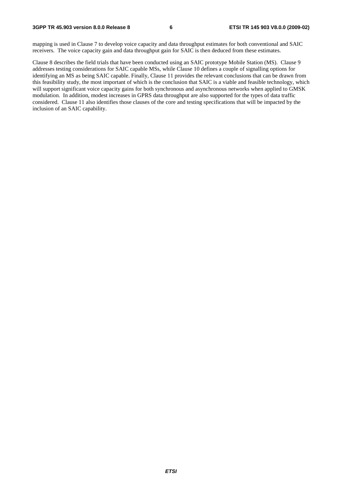mapping is used in Clause 7 to develop voice capacity and data throughput estimates for both conventional and SAIC receivers. The voice capacity gain and data throughput gain for SAIC is then deduced from these estimates.

Clause 8 describes the field trials that have been conducted using an SAIC prototype Mobile Station (MS). Clause 9 addresses testing considerations for SAIC capable MSs, while Clause 10 defines a couple of signalling options for identifying an MS as being SAIC capable. Finally, Clause 11 provides the relevant conclusions that can be drawn from this feasibility study, the most important of which is the conclusion that SAIC is a viable and feasible technology, which will support significant voice capacity gains for both synchronous and asynchronous networks when applied to GMSK modulation. In addition, modest increases in GPRS data throughput are also supported for the types of data traffic considered. Clause 11 also identifies those clauses of the core and testing specifications that will be impacted by the inclusion of an SAIC capability.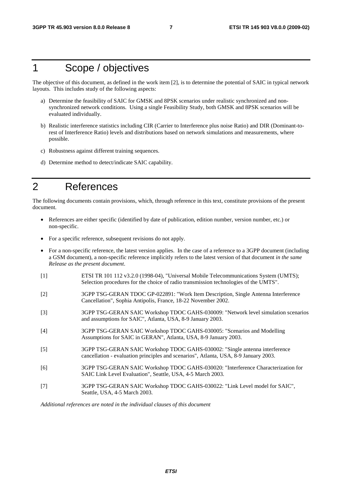# 1 Scope / objectives

The objective of this document, as defined in the work item [2], is to determine the potential of SAIC in typical network layouts. This includes study of the following aspects:

- a) Determine the feasibility of SAIC for GMSK and 8PSK scenarios under realistic synchronized and nonsynchronized network conditions. Using a single Feasibility Study, both GMSK and 8PSK scenarios will be evaluated individually.
- b) Realistic interference statistics including CIR (Carrier to Interference plus noise Ratio) and DIR (Dominant-torest of Interference Ratio) levels and distributions based on network simulations and measurements, where possible.
- c) Robustness against different training sequences.
- d) Determine method to detect/indicate SAIC capability.

# 2 References

The following documents contain provisions, which, through reference in this text, constitute provisions of the present document.

- References are either specific (identified by date of publication, edition number, version number, etc.) or non-specific.
- For a specific reference, subsequent revisions do not apply.
- For a non-specific reference, the latest version applies. In the case of a reference to a 3GPP document (including a GSM document), a non-specific reference implicitly refers to the latest version of that document *in the same Release as the present document*.
- [1] ETSI TR 101 112 v3.2.0 (1998-04), "Universal Mobile Telecommunications System (UMTS); Selection procedures for the choice of radio transmission technologies of the UMTS".
- [2] 3GPP TSG-GERAN TDOC GP-022891: "Work Item Description, Single Antenna Interference Cancellation", Sophia Antipolis, France, 18-22 November 2002.
- [3] 3GPP TSG-GERAN SAIC Workshop TDOC GAHS-030009: "Network level simulation scenarios and assumptions for SAIC", Atlanta, USA, 8-9 January 2003.
- [4] 3GPP TSG-GERAN SAIC Workshop TDOC GAHS-030005: "Scenarios and Modelling Assumptions for SAIC in GERAN", Atlanta, USA, 8-9 January 2003.
- [5] 3GPP TSG-GERAN SAIC Workshop TDOC GAHS-030002: "Single antenna interference cancellation - evaluation principles and scenarios", Atlanta, USA, 8-9 January 2003.
- [6] 3GPP TSG-GERAN SAIC Workshop TDOC GAHS-030020: "Interference Characterization for SAIC Link Level Evaluation", Seattle, USA, 4-5 March 2003.
- [7] 3GPP TSG-GERAN SAIC Workshop TDOC GAHS-030022: "Link Level model for SAIC", Seattle, USA, 4-5 March 2003.

*Additional references are noted in the individual clauses of this document*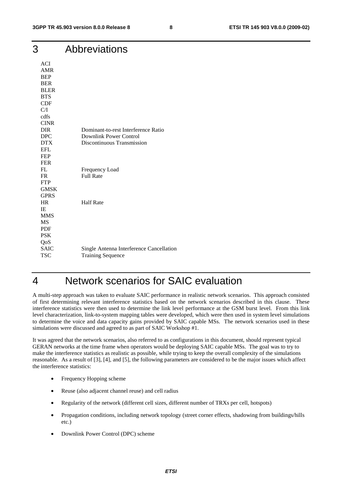| 3                   | Abbreviations                            |
|---------------------|------------------------------------------|
| <b>ACI</b>          |                                          |
| <b>AMR</b>          |                                          |
| <b>BEP</b>          |                                          |
| <b>BER</b>          |                                          |
| <b>BLER</b>         |                                          |
| <b>BTS</b>          |                                          |
| CDF                 |                                          |
| C/I                 |                                          |
| cdfs<br><b>CINR</b> |                                          |
| <b>DIR</b>          | Dominant-to-rest Interference Ratio      |
| DPC                 | <b>Downlink Power Control</b>            |
| <b>DTX</b>          | Discontinuous Transmission               |
| <b>EFL</b>          |                                          |
| <b>FEP</b>          |                                          |
| <b>FER</b>          |                                          |
| FL                  | Frequency Load                           |
| FR                  | <b>Full Rate</b>                         |
| <b>FTP</b>          |                                          |
| <b>GMSK</b>         |                                          |
| <b>GPRS</b>         |                                          |
| <b>HR</b>           | <b>Half Rate</b>                         |
| IE                  |                                          |
| <b>MMS</b>          |                                          |
| <b>MS</b>           |                                          |
| <b>PDF</b>          |                                          |
| <b>PSK</b>          |                                          |
| QoS                 |                                          |
| <b>SAIC</b>         | Single Antenna Interference Cancellation |
| <b>TSC</b>          | <b>Training Sequence</b>                 |

# 4 Network scenarios for SAIC evaluation

A multi-step approach was taken to evaluate SAIC performance in realistic network scenarios. This approach consisted of first determining relevant interference statistics based on the network scenarios described in this clause. These interference statistics were then used to determine the link level performance at the GSM burst level. From this link level characterization, link-to-system mapping tables were developed, which were then used in system level simulations to determine the voice and data capacity gains provided by SAIC capable MSs. The network scenarios used in these simulations were discussed and agreed to as part of SAIC Workshop #1.

It was agreed that the network scenarios, also referred to as configurations in this document, should represent typical GERAN networks at the time frame when operators would be deploying SAIC capable MSs. The goal was to try to make the interference statistics as realistic as possible, while trying to keep the overall complexity of the simulations reasonable. As a result of [3], [4], and [5], the following parameters are considered to be the major issues which affect the interference statistics:

- Frequency Hopping scheme
- Reuse (also adjacent channel reuse) and cell radius
- Regularity of the network (different cell sizes, different number of TRXs per cell, hotspots)
- Propagation conditions, including network topology (street corner effects, shadowing from buildings/hills etc.)
- Downlink Power Control (DPC) scheme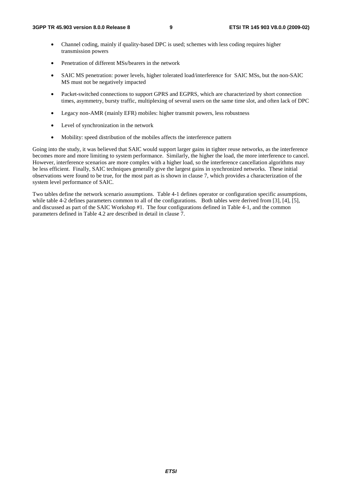- Channel coding, mainly if quality-based DPC is used; schemes with less coding requires higher transmission powers
- Penetration of different MSs/bearers in the network
- SAIC MS penetration: power levels, higher tolerated load/interference for SAIC MSs, but the non-SAIC MS must not be negatively impacted
- Packet-switched connections to support GPRS and EGPRS, which are characterized by short connection times, asymmetry, bursty traffic, multiplexing of several users on the same time slot, and often lack of DPC
- Legacy non-AMR (mainly EFR) mobiles: higher transmit powers, less robustness
- Level of synchronization in the network
- Mobility: speed distribution of the mobiles affects the interference pattern

Going into the study, it was believed that SAIC would support larger gains in tighter reuse networks, as the interference becomes more and more limiting to system performance. Similarly, the higher the load, the more interference to cancel. However, interference scenarios are more complex with a higher load, so the interference cancellation algorithms may be less efficient. Finally, SAIC techniques generally give the largest gains in synchronized networks. These initial observations were found to be true, for the most part as is shown in clause 7, which provides a characterization of the system level performance of SAIC.

Two tables define the network scenario assumptions. Table 4-1 defines operator or configuration specific assumptions, while table 4-2 defines parameters common to all of the configurations. Both tables were derived from [3], [4], [5], and discussed as part of the SAIC Workshop #1. The four configurations defined in Table 4-1, and the common parameters defined in Table 4.2 are described in detail in clause 7.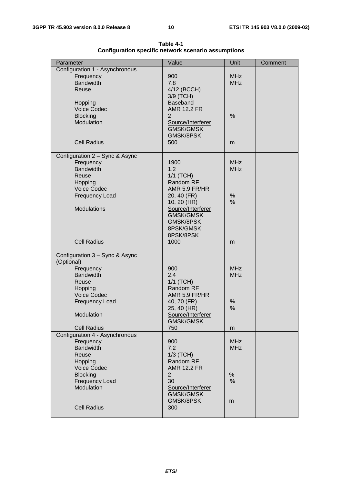| Parameter                                   | Value                  | Unit                     | Comment |
|---------------------------------------------|------------------------|--------------------------|---------|
| Configuration 1 - Asynchronous              |                        |                          |         |
| Frequency                                   | 900                    | <b>MHz</b>               |         |
| <b>Bandwidth</b>                            | 7.8                    | <b>MHz</b>               |         |
| Reuse                                       | 4/12 (BCCH)            |                          |         |
|                                             | 3/9 (TCH)              |                          |         |
| Hopping                                     | <b>Baseband</b>        |                          |         |
| <b>Voice Codec</b>                          | <b>AMR 12.2 FR</b>     |                          |         |
| <b>Blocking</b>                             | $\overline{2}$         | %                        |         |
| Modulation                                  | Source/Interferer      |                          |         |
|                                             | <b>GMSK/GMSK</b>       |                          |         |
|                                             | GMSK/8PSK              |                          |         |
| <b>Cell Radius</b>                          | 500                    | m                        |         |
|                                             |                        |                          |         |
| Configuration 2 - Sync & Async<br>Frequency | 1900                   | <b>MHz</b>               |         |
| <b>Bandwidth</b>                            | 1.2                    | <b>MHz</b>               |         |
| Reuse                                       | 1/1 (TCH)              |                          |         |
| Hopping                                     | Random RF              |                          |         |
| <b>Voice Codec</b>                          | AMR 5.9 FR/HR          |                          |         |
| Frequency Load                              | 20, 40 (FR)            | %                        |         |
|                                             | 10, 20 (HR)            | $\frac{0}{0}$            |         |
| <b>Modulations</b>                          | Source/Interferer      |                          |         |
|                                             | <b>GMSK/GMSK</b>       |                          |         |
|                                             | GMSK/8PSK              |                          |         |
|                                             | 8PSK/GMSK              |                          |         |
|                                             | 8PSK/8PSK              |                          |         |
| <b>Cell Radius</b>                          | 1000                   | m                        |         |
| Configuration 3 - Sync & Async              |                        |                          |         |
| (Optional)                                  |                        |                          |         |
| Frequency                                   | 900                    | <b>MHz</b>               |         |
| <b>Bandwidth</b>                            | 2.4                    | <b>MHz</b>               |         |
| Reuse                                       | 1/1 (TCH)              |                          |         |
| Hopping                                     | Random RF              |                          |         |
| <b>Voice Codec</b>                          | AMR 5.9 FR/HR          |                          |         |
| <b>Frequency Load</b>                       | 40, 70 (FR)            | $\%$                     |         |
|                                             | 25, 40 (HR)            | %                        |         |
| Modulation                                  | Source/Interferer      |                          |         |
|                                             | <b>GMSK/GMSK</b>       |                          |         |
| <b>Cell Radius</b>                          | 750                    | m                        |         |
| Configuration 4 - Asynchronous              |                        |                          |         |
| Frequency<br><b>Bandwidth</b>               | 900<br>7.2             | <b>MHz</b><br><b>MHz</b> |         |
| Reuse                                       |                        |                          |         |
| Hopping                                     | 1/3 (TCH)<br>Random RF |                          |         |
| <b>Voice Codec</b>                          | <b>AMR 12.2 FR</b>     |                          |         |
| <b>Blocking</b>                             | $\overline{2}$         | %                        |         |
| <b>Frequency Load</b>                       | 30                     | %                        |         |
| Modulation                                  | Source/Interferer      |                          |         |
|                                             | <b>GMSK/GMSK</b>       |                          |         |
|                                             | GMSK/8PSK              | m                        |         |
| <b>Cell Radius</b>                          | 300                    |                          |         |
|                                             |                        |                          |         |

**Table 4-1 Configuration specific network scenario assumptions**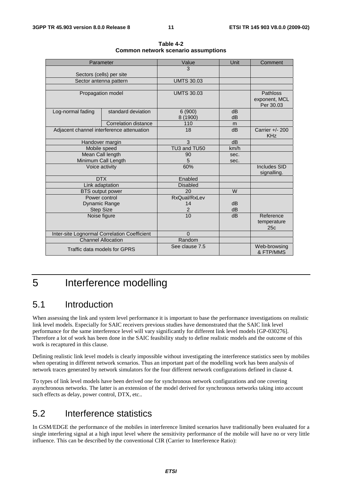|                   | Parameter                                    | Value              | Unit     | Comment                                |
|-------------------|----------------------------------------------|--------------------|----------|----------------------------------------|
|                   |                                              | 3                  |          |                                        |
|                   | Sectors (cells) per site                     |                    |          |                                        |
|                   | Sector antenna pattern                       | <b>UMTS 30.03</b>  |          |                                        |
|                   |                                              |                    |          |                                        |
|                   | Propagation model                            | <b>UMTS 30.03</b>  |          | Pathloss<br>exponent, MCL<br>Per 30.03 |
| Log-normal fading | standard deviation                           | 6(900)<br>8 (1900) | dB<br>dB |                                        |
|                   | <b>Correlation distance</b>                  | 110                | m        |                                        |
|                   | Adjacent channel interference attenuation    | 18                 | dB       | Carrier +/- 200<br><b>KHz</b>          |
|                   | Handover margin                              | 3                  | dB       |                                        |
|                   | Mobile speed                                 | TU3 and TU50       | km/h     |                                        |
|                   | Mean Call length                             | 90                 | sec.     |                                        |
|                   | Minimum Call Length                          | 5                  | sec.     |                                        |
| Voice activity    |                                              | 60%                |          | Includes SID<br>signalling.            |
|                   | <b>DTX</b>                                   | Enabled            |          |                                        |
|                   | Link adaptation                              | <b>Disabled</b>    |          |                                        |
|                   | <b>BTS</b> output power                      | 20                 | W        |                                        |
|                   | Power control                                | RxQual/RxLev       |          |                                        |
|                   | Dynamic Range                                | 14                 | dB       |                                        |
|                   | <b>Step Size</b>                             | $\overline{2}$     | dB       |                                        |
| Noise figure      |                                              | 10                 | dB       | Reference<br>temperature<br>25c        |
|                   | Inter-site Lognormal Correlation Coefficient | $\Omega$           |          |                                        |
|                   | <b>Channel Allocation</b>                    | Random             |          |                                        |
|                   | Traffic data models for GPRS                 | See clause 7.5     |          | Web-browsing<br>& FTP/MMS              |

**Table 4-2 Common network scenario assumptions** 

# 5 Interference modelling

# 5.1 Introduction

When assessing the link and system level performance it is important to base the performance investigations on realistic link level models. Especially for SAIC receivers previous studies have demonstrated that the SAIC link level performance for the same interference level will vary significantly for different link level models [GP-030276]. Therefore a lot of work has been done in the SAIC feasibility study to define realistic models and the outcome of this work is recaptured in this clause.

Defining realistic link level models is clearly impossible without investigating the interference statistics seen by mobiles when operating in different network scenarios. Thus an important part of the modelling work has been analysis of network traces generated by network simulators for the four different network configurations defined in clause 4.

To types of link level models have been derived one for synchronous network configurations and one covering asynchronous networks. The latter is an extension of the model derived for synchronous networks taking into account such effects as delay, power control, DTX, etc..

# 5.2 Interference statistics

In GSM/EDGE the performance of the mobiles in interference limited scenarios have traditionally been evaluated for a single interfering signal at a high input level where the sensitivity performance of the mobile will have no or very little influence. This can be described by the conventional CIR (Carrier to Interference Ratio):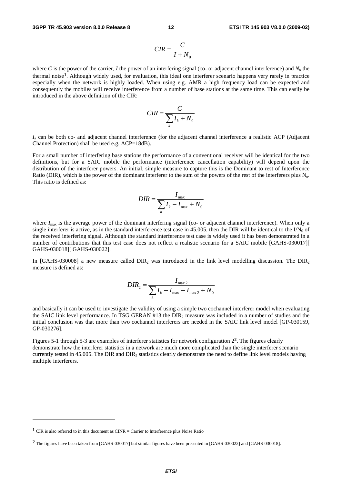$$
CIR = \frac{C}{I + N_0}
$$

where *C* is the power of the carrier, *I* the power of an interfering signal (co- or adjacent channel interference) and  $N_0$  the thermal noise**1**. Although widely used, for evaluation, this ideal one interferer scenario happens very rarely in practice especially when the network is highly loaded. When using e.g. AMR a high frequency load can be expected and consequently the mobiles will receive interference from a number of base stations at the same time. This can easily be introduced in the above definition of the CIR:

$$
CIR = \frac{C}{\sum_{k} I_k + N_0}
$$

 $I_k$  can be both co- and adjacent channel interference (for the adjacent channel interference a realistic ACP (Adjacent Channel Protection) shall be used e.g. ACP=18dB).

For a small number of interfering base stations the performance of a conventional receiver will be identical for the two definitions, but for a SAIC mobile the performance (interference cancellation capability) will depend upon the distribution of the interferer powers. An initial, simple measure to capture this is the Dominant to rest of Interference Ratio (DIR), which is the power of the dominant interferer to the sum of the powers of the rest of the interferers plus  $N_0$ . This ratio is defined as:

$$
DIR = \frac{I_{\text{max}}}{\sum_{k} I_k - I_{\text{max}} + N_0}
$$

where  $I_{\text{max}}$  is the average power of the dominant interfering signal (co- or adjacent channel interference). When only a single interferer is active, as in the standard interference test case in 45.005, then the DIR will be identical to the  $IN_0$  of the received interfering signal. Although the standard interference test case is widely used it has been demonstrated in a number of contributions that this test case does not reflect a realistic scenario for a SAIC mobile [GAHS-030017][ GAHS-030018][ GAHS-030022].

In [GAHS-030008] a new measure called  $DIR<sub>2</sub>$  was introduced in the link level modelling discussion. The  $DIR<sub>2</sub>$ measure is defined as:

$$
DIR_{2} = \frac{I_{\max 2}}{\sum_{k} I_{k} - I_{\max} - I_{\max 2} + N_{0}}
$$

and basically it can be used to investigate the validity of using a simple two cochannel interferer model when evaluating the SAIC link level performance. In TSG GERAN #13 the DIR<sub>2</sub> measure was included in a number of studies and the initial conclusion was that more than two cochannel interferers are needed in the SAIC link level model [GP-030159, GP-030276].

Figures 5-1 through 5-3 are examples of interferer statistics for network configuration 2**2**. The figures clearly demonstrate how the interferer statistics in a network are much more complicated than the single interferer scenario currently tested in 45.005. The DIR and  $DIR<sub>2</sub>$  statistics clearly demonstrate the need to define link level models having multiple interferers.

**<sup>1</sup>** CIR is also referred to in this document as CINR = Carrier to Interference plus Noise Ratio

**<sup>2</sup>** The figures have been taken from [GAHS-030017] but similar figures have been presented in [GAHS-030022] and [GAHS-030018].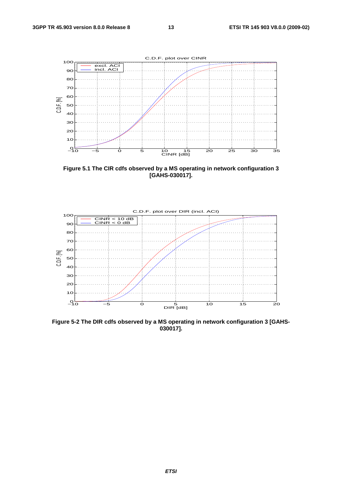

**Figure 5.1 The CIR cdfs observed by a MS operating in network configuration 3 [GAHS-030017].** 



**Figure 5-2 The DIR cdfs observed by a MS operating in network configuration 3 [GAHS-030017].**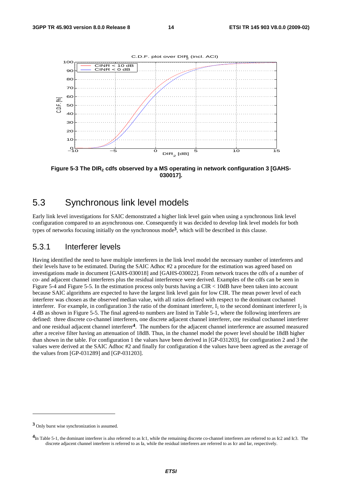

**Figure 5-3 The DIR2 cdfs observed by a MS operating in network configuration 3 [GAHS-030017].** 

#### 5.3 Synchronous link level models

Early link level investigations for SAIC demonstrated a higher link level gain when using a synchronous link level configuration compared to an asynchronous one. Consequently it was decided to develop link level models for both types of networks focusing initially on the synchronous mode**3**, which will be described in this clause.

#### 5.3.1 Interferer levels

Having identified the need to have multiple interferers in the link level model the necessary number of interferers and their levels have to be estimated. During the SAIC Adhoc #2 a procedure for the estimation was agreed based on investigations made in document [GAHS-030018] and [GAHS-030022]. From network traces the cdfs of a number of co- and adjacent channel interferers plus the residual interference were derived. Examples of the cdfs can be seen in Figure 5-4 and Figure 5-5. In the estimation process only bursts having a CIR < 10dB have been taken into account because SAIC algorithms are expected to have the largest link level gain for low CIR. The mean power level of each interferer was chosen as the observed median value, with all ratios defined with respect to the dominant cochannel interferer. For example, in configuration 3 the ratio of the dominant interferer,  $I_1$  to the second dominant interferer  $I_2$  is 4 dB as shown in Figure 5-5. The final agreed-to numbers are listed in Table 5-1, where the following interferers are defined: three discrete co-channel interferers, one discrete adjacent channel interferer, one residual cochannel interferer and one residual adjacent channel interferer**4**. The numbers for the adjacent channel interference are assumed measured after a receive filter having an attenuation of 18dB. Thus, in the channel model the power level should be 18dB higher than shown in the table. For configuration 1 the values have been derived in [GP-031203], for configuration 2 and 3 the values were derived at the SAIC Adhoc #2 and finally for configuration 4 the values have been agreed as the average of the values from [GP-031289] and [GP-031203].

**<sup>3</sup>** Only burst wise synchronization is assumed.

<sup>&</sup>lt;sup>4</sup>In Table 5-1, the dominant interferer is also referred to as Ic1, while the remaining discrete co-channel interferers are referred to as Ic2 and Ic3. The discrete adjacent channel interferer is referred to as Ia, while the residual interferers are referred to as Icr and Iar, respectively.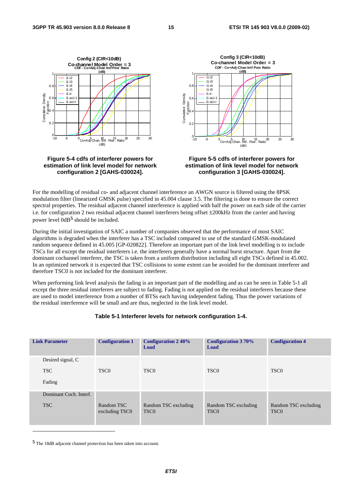

**Figure 5-4 cdfs of interferer powers for estimation of link level model for network configuration 2 [GAHS-030024].** 

**Figure 5-5 cdfs of interferer powers for estimation of link level model for network configuration 3 [GAHS-030024].** 

For the modelling of residual co- and adjacent channel interference an AWGN source is filtered using the 8PSK modulation filter (linearized GMSK pulse) specified in 45.004 clause 3.5. The filtering is done to ensure the correct spectral properties. The residual adjacent channel interference is applied with half the power on each side of the carrier i.e. for configuration 2 two residual adjacent channel interferers being offset ±200kHz from the carrier and having power level 0dB**5** should be included.

During the initial investigation of SAIC a number of companies observed that the performance of most SAIC algorithms is degraded when the interferer has a TSC included compared to use of the standard GMSK-modulated random sequence defined in 45.005 [GP-020822]. Therefore an important part of the link level modelling is to include TSCs for all except the residual interferers i.e. the interferers generally have a normal burst structure. Apart from the dominant cochannel interferer, the TSC is taken from a uniform distribution including all eight TSCs defined in 45.002. In an optimized network it is expected that TSC collisions to some extent can be avoided for the dominant interferer and therefore TSC0 is not included for the dominant interferer.

When performing link level analysis the fading is an important part of the modelling and as can be seen in Table 5-1 all except the three residual interferers are subject to fading. Fading is not applied on the residual interferers because these are used to model interference from a number of BTSs each having independent fading. Thus the power variations of the residual interference will be small and are thus, neglected in the link level model.

#### **Table 5-1 Interferer levels for network configuration 1-4.**

| <b>Link Parameter</b>                     | <b>Configuration 1</b>       | <b>Configuration 240%</b><br>Load        | <b>Configuration 370%</b><br>Load        | <b>Configuration 4</b>                   |
|-------------------------------------------|------------------------------|------------------------------------------|------------------------------------------|------------------------------------------|
| Desired signal, C<br><b>TSC</b><br>Fading | TSC <sub>0</sub>             | TSC <sub>0</sub>                         | TSC <sub>0</sub>                         | TSC <sub>0</sub>                         |
| Dominant Coch. Interf.<br><b>TSC</b>      | Random TSC<br>excluding TSC0 | Random TSC excluding<br>TSC <sub>0</sub> | Random TSC excluding<br>TSC <sub>0</sub> | Random TSC excluding<br>TSC <sub>0</sub> |

**5** The 18dB adjacent channel protection has been taken into account.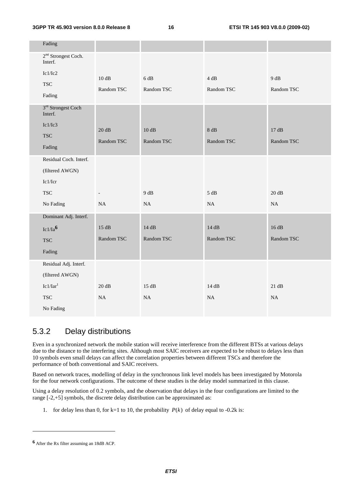**3GPP TR 45.903 version 8.0.0 Release 8 16 ETSI TR 145 903 V8.0.0 (2009-02)**

| Fading                                    |                          |                  |                  |                   |
|-------------------------------------------|--------------------------|------------------|------------------|-------------------|
| $2nd$ Strongest Coch.<br>Interf.          |                          |                  |                  |                   |
| Ic1/Ic2                                   | 10dB                     | $6\ \mathrm{dB}$ | $4\ \mathrm{dB}$ | 9 dB              |
| <b>TSC</b>                                | Random TSC               | Random TSC       | Random TSC       | Random TSC        |
| Fading                                    |                          |                  |                  |                   |
| 3 <sup>rd</sup> Strongest Coch<br>Interf. |                          |                  |                  |                   |
| Ic1/Ic3                                   | 20 dB                    | 10dB             | 8 dB             | 17dB              |
| <b>TSC</b>                                | Random TSC               | Random TSC       | Random TSC       | Random TSC        |
| Fading                                    |                          |                  |                  |                   |
| Residual Coch. Interf.                    |                          |                  |                  |                   |
| (filtered AWGN)                           |                          |                  |                  |                   |
| Ic1/Icr                                   |                          |                  |                  |                   |
| <b>TSC</b>                                | $\overline{\phantom{a}}$ | 9 dB             | $5\ \mathrm{dB}$ | $20\ \mathrm{dB}$ |
| No Fading                                 | NA                       | NA               | NA               | NA                |
| Dominant Adj. Interf.                     |                          |                  |                  |                   |
| $Ic1/Ia^6$                                | 15 dB                    | $14dB$           | $14dB$           | $16 dB$           |
| <b>TSC</b>                                | Random TSC               | Random TSC       | Random TSC       | Random TSC        |
| Fading                                    |                          |                  |                  |                   |
| Residual Adj. Interf.                     |                          |                  |                  |                   |
| (filtered AWGN)                           |                          |                  |                  |                   |
| Ic1/Iar <sup>1</sup>                      | 20 dB                    | 15 dB            | 14 dB            | 21 dB             |
| <b>TSC</b>                                | NA                       | NA               | NA               | NA                |
| No Fading                                 |                          |                  |                  |                   |
|                                           |                          |                  |                  |                   |

### 5.3.2 Delay distributions

Even in a synchronized network the mobile station will receive interference from the different BTSs at various delays due to the distance to the interfering sites. Although most SAIC receivers are expected to be robust to delays less than 10 symbols even small delays can affect the correlation properties between different TSCs and therefore the performance of both conventional and SAIC receivers.

Based on network traces, modelling of delay in the synchronous link level models has been investigated by Motorola for the four network configurations. The outcome of these studies is the delay model summarized in this clause.

Using a delay resolution of 0.2 symbols, and the observation that delays in the four configurations are limited to the range [-2,+5] symbols, the discrete delay distribution can be approximated as:

1. for delay less than 0, for k=1 to 10, the probability  $P(k)$  of delay equal to -0.2k is:

**<sup>6</sup>** After the Rx filter assuming an 18dB ACP.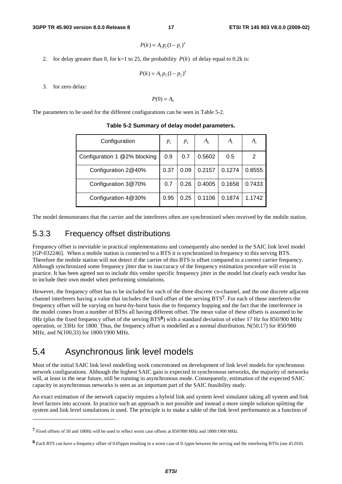$$
P(k) = A_1 p_1 (1 - p_1)^k
$$

2. for delay greater than 0, for k=1 to 25, the probability  $P(k)$  of delay equal to 0.2k is:

$$
P(k) = A_2 p_2 (1 - p_2)^k
$$

3. for zero delay:

 $P(0) = A_0$ 

The parameters to be used for the different configurations can be seen in Table 5-2.

| Configuration                | $P_1$ | $p_{2}$ | $A_0$  | $A_{i}$ | А,     |
|------------------------------|-------|---------|--------|---------|--------|
| Configuration 1 @2% blocking | 0.9   | 0.7     | 0.5602 | 0.5     | 2      |
| Configuration 2@40%          | 0.37  | 0.09    | 0.2157 | 0.1274  | 0.8555 |
| Configuration 3@70%          | 0.7   | 0.26    | 0.4005 | 0.1658  | 0.7433 |
| Configuration 4@30%          | 0.95  | 0.25    | 0.1106 | 0.1874  | 1.1742 |

**Table 5-2 Summary of delay model parameters.** 

The model demonstrates that the carrier and the interferers often are synchronized when received by the mobile station.

#### 5.3.3 Frequency offset distributions

Frequency offset is inevitable in practical implementations and consequently also needed in the SAIC link level model [GP-032246]. When a mobile station is connected to a BTS it is synchronized in frequency to this serving BTS. Therefore the mobile station will not detect if the carrier of this BTS is offset compared to a correct carrier frequency. Although synchronized some frequency jitter due to inaccuracy of the frequency estimation procedure will exist in practice. It has been agreed not to include this vendor specific frequency jitter in the model but clearly each vendor has to include their own model when performing simulations.

However, the frequency offset has to be included for each of the three discrete co-channel, and the one discrete adjacent channel interferers having a value that includes the fixed offset of the serving BTS**7**. For each of these interferers the frequency offset will be varying on burst-by-burst basis due to frequency hopping and the fact that the interference in the model comes from a number of BTSs all having different offset. The mean value of these offsets is assumed to be 0Hz (plus the fixed frequency offset of the serving BTS**8**) with a standard deviation of either 17 Hz for 850/900 MHz operation, or 33Hz for 1800. Thus, the frequency offset is modelled as a normal distribution, N(50,17) for 850/900 MHz, and N(100,33) for 1800/1900 MHz.

## 5.4 Asynchronous link level models

-

Most of the initial SAIC link level modelling work concentrated on development of link level models for synchronous network configurations. Although the highest SAIC gain is expected in synchronous networks, the majority of networks will, at least in the near future, still be running in asynchronous mode. Consequently, estimation of the expected SAIC capacity in asynchronous networks is seen as an important part of the SAIC feasibility study.

An exact estimation of the network capacity requires a hybrid link and system level simulator taking all system and link level factors into account. In practice such an approach is not possible and instead a more simple solution splitting the system and link level simulations is used. The principle is to make a table of the link level performance as a function of

**<sup>7</sup>** Fixed offsets of 50 and 100Hz will be used to reflect worst case offsets at 850/900 MHz and 1800/1900 MHz.

**<sup>8</sup>** Each BTS can have a frequency offset of 0.05ppm resulting in a worst case of 0.1ppm between the serving and the interfering BTSs (see 45.010).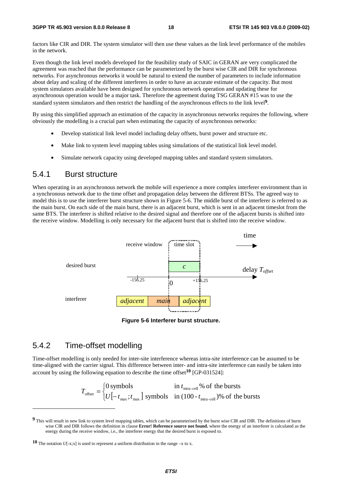factors like CIR and DIR. The system simulator will then use these values as the link level performance of the mobiles in the network.

Even though the link level models developed for the feasibility study of SAIC in GERAN are very complicated the agreement was reached that the performance can be parameterized by the burst wise CIR and DIR for synchronous networks. For asynchronous networks it would be natural to extend the number of parameters to include information about delay and scaling of the different interferers in order to have an accurate estimate of the capacity. But most system simulators available have been designed for synchronous network operation and updating these for asynchronous operation would be a major task. Therefore the agreement during TSG GERAN #15 was to use the standard system simulators and then restrict the handling of the asynchronous effects to the link level**9**.

By using this simplified approach an estimation of the capacity in asynchronous networks requires the following, where obviously the modelling is a crucial part when estimating the capacity of asynchronous networks:

- Develop statistical link level model including delay offsets, burst power and structure etc.
- Make link to system level mapping tables using simulations of the statistical link level model.
- Simulate network capacity using developed mapping tables and standard system simulators.

#### 5.4.1 Burst structure

When operating in an asynchronous network the mobile will experience a more complex interferer environment than in a synchronous network due to the time offset and propagation delay between the different BTSs. The agreed way to model this is to use the interferer burst structure shown in Figure 5-6. The middle burst of the interferer is referred to as the main burst. On each side of the main burst, there is an adjacent burst, which is sent in an adjacent timeslot from the same BTS. The interferer is shifted relative to the desired signal and therefore one of the adjacent bursts is shifted into the receive window. Modelling is only necessary for the adjacent burst that is shifted into the receive window.



**Figure 5-6 Interferer burst structure.** 

#### 5.4.2 Time-offset modelling

-

Time-offset modelling is only needed for inter-site interference whereas intra-site interference can be assumed to be time-aligned with the carrier signal. This difference between inter- and intra-site interference can easily be taken into account by using the following equation to describe the time offset**10** [GP-031524]:

$$
T_{\text{offset}} = \begin{cases} 0 \text{ symbols} & \text{in } t_{\text{intra-cell}} \% \text{ of the bursts} \\ U\left[-t_{\text{max}}; t_{\text{max}}\right] \text{ symbols} & \text{in } (100 - t_{\text{intra-cell}}) \% \text{ of the bursts} \end{cases}
$$

**<sup>9</sup>** This will result in new link to system level mapping tables, which can be parameterised by the burst wise CIR and DIR. The definitions of burst wise CIR and DIR follows the definition in clause **Error! Reference source not found.** where the energy of an interferer is calculated as the energy during the receive window, i.e., the interferer energy that the desired burst is exposed to.

**<sup>10</sup>** The notation  $U$ [-x;x] is used to represent a uniform distribution in the range –x to x.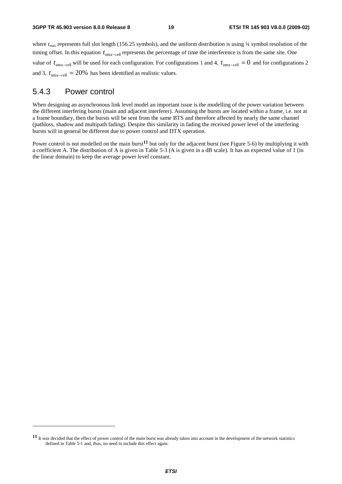where  $t_{\text{max}}$  represents full slot length (156.25 symbols), and the uniform distribution is using 1/4 symbol resolution of the timing offset. In this equation t<sub>intra−cell</sub> represents the percentage of time the interference is from the same site. One value of  $t_{\text{intra-cell}}$  will be used for each configuration. For configurations 1 and 4,  $t_{\text{intra-cell}} = 0$  and for configurations 2 and 3,  $t_{\text{intra-cell}} = 20\%$  has been identified as realistic values.

#### 5.4.3 Power control

-

When designing an asynchronous link level model an important issue is the modelling of the power variation between the different interfering bursts (main and adjacent interferer). Assuming the bursts are located within a frame, i.e. not at a frame boundary, then the bursts will be sent from the same BTS and therefore affected by nearly the same channel (pathloss, shadow and multipath fading). Despite this similarity in fading the received power level of the interfering bursts will in general be different due to power control and DTX operation.

Power control is not modelled on the main burst**11** but only for the adjacent burst (see Figure 5-6) by multiplying it with a coefficient A. The distribution of A is given in Table 5-3 (A is given in a dB scale). It has an expected value of 1 (in the linear domain) to keep the average power level constant.

**<sup>11</sup>** It was decided that the effect of power control of the main burst was already taken into account in the development of the network statistics defined in Table 5-1 and, thus, no need to include this effect again.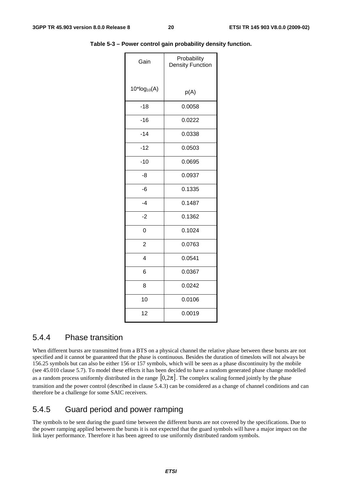| Gain              | Probability<br><b>Density Function</b> |
|-------------------|----------------------------------------|
| $10^*log_{10}(A)$ | p(A)                                   |
| $-18$             | 0.0058                                 |
| $-16$             | 0.0222                                 |
| $-14$             | 0.0338                                 |
| $-12$             | 0.0503                                 |
| $-10$             | 0.0695                                 |
| -8                | 0.0937                                 |
| $-6$              | 0.1335                                 |
| $-4$              | 0.1487                                 |
| $-2$              | 0.1362                                 |
| 0                 | 0.1024                                 |
| $\overline{2}$    | 0.0763                                 |
| $\overline{4}$    | 0.0541                                 |
| 6                 | 0.0367                                 |
| 8                 | 0.0242                                 |
| 10                | 0.0106                                 |
| 12                | 0.0019                                 |

**Table 5-3 – Power control gain probability density function.** 

#### 5.4.4 Phase transition

When different bursts are transmitted from a BTS on a physical channel the relative phase between these bursts are not specified and it cannot be guaranteed that the phase is continuous. Besides the duration of timeslots will not always be 156.25 symbols but can also be either 156 or 157 symbols, which will be seen as a phase discontinuity by the mobile (see 45.010 clause 5.7). To model these effects it has been decided to have a random generated phase change modelled as a random process uniformly distributed in the range  $[0,2\pi]$ . The complex scaling formed jointly by the phase transition and the power control (described in clause 5.4.3) can be considered as a change of channel conditions and can therefore be a challenge for some SAIC receivers.

#### 5.4.5 Guard period and power ramping

The symbols to be sent during the guard time between the different bursts are not covered by the specifications. Due to the power ramping applied between the bursts it is not expected that the guard symbols will have a major impact on the link layer performance. Therefore it has been agreed to use uniformly distributed random symbols.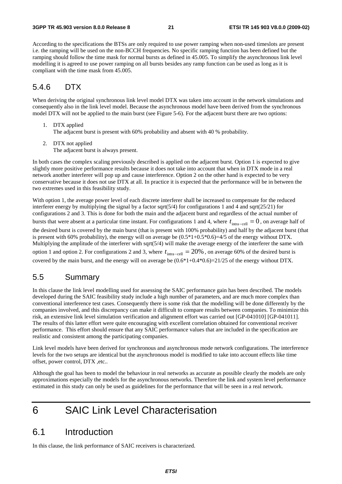According to the specifications the BTSs are only required to use power ramping when non-used timeslots are present i.e. the ramping will be used on the non-BCCH frequencies. No specific ramping function has been defined but the ramping should follow the time mask for normal bursts as defined in 45.005. To simplify the asynchronous link level modelling it is agreed to use power ramping on all bursts besides any ramp function can be used as long as it is compliant with the time mask from 45.005.

#### 5.4.6 DTX

When deriving the original synchronous link level model DTX was taken into account in the network simulations and consequently also in the link level model. Because the asynchronous model have been derived from the synchronous model DTX will not be applied to the main burst (see Figure 5-6). For the adjacent burst there are two options:

- 1. DTX applied The adjacent burst is present with 60% probability and absent with 40 % probability.
- 2. DTX not applied The adjacent burst is always present.

In both cases the complex scaling previously described is applied on the adjacent burst. Option 1 is expected to give slightly more positive performance results because it does not take into account that when in DTX mode in a real network another interferer will pop up and cause interference. Option 2 on the other hand is expected to be very conservative because it does not use DTX at all. In practice it is expected that the performance will be in between the two extremes used in this feasibility study.

With option 1, the average power level of each discrete interferer shall be increased to compensate for the reduced interferer energy by multiplying the signal by a factor sqrt(5/4) for configurations 1 and 4 and sqrt(25/21) for configurations 2 and 3. This is done for both the main and the adjacent burst and regardless of the actual number of bursts that were absent at a particular time instant. For configurations 1 and 4, where  $t_{\text{intra} - cell} = 0$ , on average half of

the desired burst is covered by the main burst (that is present with 100% probability) and half by the adjacent burst (that is present with 60% probability), the energy will on average be  $(0.5*1+0.5*0.6)=4/5$  of the energy without DTX. Multiplying the amplitude of the interferer with sqrt(5/4) will make the average energy of the interferer the same with option 1 and option 2. For configurations 2 and 3, where  $t_{\text{intra-cell}} = 20\%$ , on average 60% of the desired burst is covered by the main burst, and the energy will on average be (0.6\*1+0.4\*0.6)=21/25 of the energy without DTX.

#### 5.5 Summary

In this clause the link level modelling used for assessing the SAIC performance gain has been described. The models developed during the SAIC feasibility study include a high number of parameters, and are much more complex than conventional interference test cases. Consequently there is some risk that the modelling will be done differently by the companies involved, and this discrepancy can make it difficult to compare results between companies. To minimize this risk, an extensive link level simulation verification and alignment effort was carried out [GP-041010] [GP-041011]. The results of this latter effort were quite encouraging with excellent correlation obtained for conventional receiver performance. This effort should ensure that any SAIC performance values that are included in the specification are realistic and consistent among the participating companies.

Link level models have been derived for synchronous and asynchronous mode network configurations. The interference levels for the two setups are identical but the asynchronous model is modified to take into account effects like time offset, power control, DTX ,etc..

Although the goal has been to model the behaviour in real networks as accurate as possible clearly the models are only approximations especially the models for the asynchronous networks. Therefore the link and system level performance estimated in this study can only be used as guidelines for the performance that will be seen in a real network.

# 6 SAIC Link Level Characterisation

### 6.1 Introduction

In this clause, the link performance of SAIC receivers is characterized.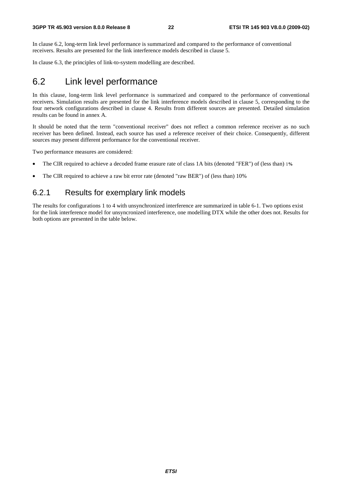In clause 6.2, long-term link level performance is summarized and compared to the performance of conventional receivers. Results are presented for the link interference models described in clause 5.

In clause 6.3, the principles of link-to-system modelling are described.

## 6.2 Link level performance

In this clause, long-term link level performance is summarized and compared to the performance of conventional receivers. Simulation results are presented for the link interference models described in clause 5, corresponding to the four network configurations described in clause 4. Results from different sources are presented. Detailed simulation results can be found in annex A.

It should be noted that the term "conventional receiver" does not reflect a common reference receiver as no such receiver has been defined. Instead, each source has used a reference receiver of their choice. Consequently, different sources may present different performance for the conventional receiver.

Two performance measures are considered:

- The CIR required to achieve a decoded frame erasure rate of class 1A bits (denoted "FER") of (less than) 1**%**
- The CIR required to achieve a raw bit error rate (denoted "raw BER") of (less than) 10%

#### 6.2.1 Results for exemplary link models

The results for configurations 1 to 4 with unsynchronized interference are summarized in table 6-1. Two options exist for the link interference model for unsyncronized interference, one modelling DTX while the other does not. Results for both options are presented in the table below.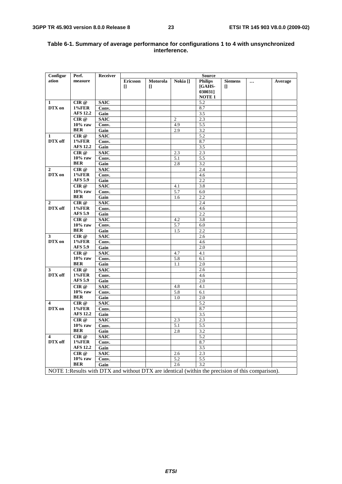| Configur                                                                                         | Perf.           | Receiver    | <b>Source</b>   |          |                     |                |                |          |         |
|--------------------------------------------------------------------------------------------------|-----------------|-------------|-----------------|----------|---------------------|----------------|----------------|----------|---------|
| ation                                                                                            | measure         |             | <b>Ericsson</b> | Motorola | Nokia <sup>[]</sup> | <b>Philips</b> | <b>Siemens</b> | $\cdots$ | Average |
|                                                                                                  |                 |             | I.              | I.       |                     | [GAHS-         | $\Box$         |          |         |
|                                                                                                  |                 |             |                 |          |                     | 030031]        |                |          |         |
|                                                                                                  |                 |             |                 |          |                     | <b>NOTE 1</b>  |                |          |         |
| 1                                                                                                | CIR@            | <b>SAIC</b> |                 |          |                     | 5.2            |                |          |         |
| DTX on                                                                                           | <b>1%FER</b>    | Conv.       |                 |          |                     | 8.7            |                |          |         |
|                                                                                                  | <b>AFS 12.2</b> | Gain        |                 |          |                     | 3.5            |                |          |         |
|                                                                                                  | CIR @           | <b>SAIC</b> |                 |          | $\mathfrak{2}$      | 2.3            |                |          |         |
|                                                                                                  | $10\%$ raw      | Conv.       |                 |          | 4.9                 | 5.5            |                |          |         |
|                                                                                                  | <b>BER</b>      | Gain        |                 |          | 2.9                 | 3.2            |                |          |         |
| 1                                                                                                | CIR @           | <b>SAIC</b> |                 |          |                     | 5.2            |                |          |         |
| DTX off                                                                                          | <b>1%FER</b>    | Conv.       |                 |          |                     | 8.7            |                |          |         |
|                                                                                                  | <b>AFS 12.2</b> | Gain        |                 |          |                     | 3.5            |                |          |         |
|                                                                                                  | CIR@            | <b>SAIC</b> |                 |          | 2.3                 | 2.3            |                |          |         |
|                                                                                                  | $10\%$ raw      | Conv.       |                 |          | 5.1                 | 5.5            |                |          |         |
|                                                                                                  | <b>BER</b>      | Gain        |                 |          | 2.8                 | 3.2            |                |          |         |
| $\boldsymbol{2}$                                                                                 | CIR @           | <b>SAIC</b> |                 |          |                     | 2.4            |                |          |         |
| DTX on                                                                                           | <b>1%FER</b>    | Conv.       |                 |          |                     | 4.6            |                |          |         |
|                                                                                                  | <b>AFS 5.9</b>  | Gain        |                 |          |                     | 2.2            |                |          |         |
|                                                                                                  | CIR @           | <b>SAIC</b> |                 |          | 4.1                 | 3.8            |                |          |         |
|                                                                                                  | $10\%$ raw      | Conv.       |                 |          | 5.7                 | 6.0            |                |          |         |
|                                                                                                  | <b>BER</b>      | Gain        |                 |          | 1.6                 | 2.2            |                |          |         |
| $\overline{2}$                                                                                   | CIR@            | <b>SAIC</b> |                 |          |                     | 2.4            |                |          |         |
| DTX off                                                                                          | <b>1%FER</b>    | Conv.       |                 |          |                     | 4.6            |                |          |         |
|                                                                                                  | <b>AFS 5.9</b>  | Gain        |                 |          |                     | 2.2            |                |          |         |
|                                                                                                  | CIR @           | <b>SAIC</b> |                 |          | 4.2                 | 3.8            |                |          |         |
|                                                                                                  | $10\%$ raw      | Conv.       |                 |          | 5.7                 | 6.0            |                |          |         |
|                                                                                                  | <b>BER</b>      | Gain        |                 |          | 1.5                 | 2.2            |                |          |         |
| 3                                                                                                | CIR @           | <b>SAIC</b> |                 |          |                     | 2.6            |                |          |         |
| DTX on                                                                                           | <b>1%FER</b>    | Conv.       |                 |          |                     | 4.6            |                |          |         |
|                                                                                                  | <b>AFS 5.9</b>  | Gain        |                 |          |                     | 2.0            |                |          |         |
|                                                                                                  | CIR@            | <b>SAIC</b> |                 |          | 4.7                 | 4.1            |                |          |         |
|                                                                                                  | $10\%$ raw      | Conv.       |                 |          | 5.8                 | 6.1            |                |          |         |
|                                                                                                  | <b>BER</b>      | Gain        |                 |          | 1.1                 | 2.0            |                |          |         |
| 3                                                                                                | CIR @           | <b>SAIC</b> |                 |          |                     | 2.6            |                |          |         |
| DTX off                                                                                          | <b>1%FER</b>    | Conv.       |                 |          |                     | 4.6            |                |          |         |
|                                                                                                  | <b>AFS 5.9</b>  | Gain        |                 |          |                     | 2.0            |                |          |         |
|                                                                                                  | CIR @           | <b>SAIC</b> |                 |          | 4.8                 | 4.1            |                |          |         |
|                                                                                                  | $10\%$ raw      | Conv.       |                 |          | 5.8                 | 6.1            |                |          |         |
|                                                                                                  | <b>BER</b>      | Gain        |                 |          | 1.0                 | 2.0            |                |          |         |
| $\overline{\mathbf{4}}$                                                                          | CIR @           | <b>SAIC</b> |                 |          |                     | 5.2            |                |          |         |
| DTX on                                                                                           | <b>1%FER</b>    | Conv.       |                 |          |                     | 8.7            |                |          |         |
|                                                                                                  | <b>AFS 12.2</b> | Gain        |                 |          |                     | 3.5            |                |          |         |
|                                                                                                  | CIR @           | <b>SAIC</b> |                 |          | 2.3                 | 2.3            |                |          |         |
|                                                                                                  | $10\%$ raw      | Conv.       |                 |          | 5.1                 | 5.5            |                |          |         |
|                                                                                                  | BER             | Gain        |                 |          | 2.8                 | 3.2            |                |          |         |
| 4                                                                                                | CIR @           | <b>SAIC</b> |                 |          |                     | 5.2            |                |          |         |
| DTX off                                                                                          | <b>1%FER</b>    | Conv.       |                 |          |                     | 8.7            |                |          |         |
|                                                                                                  | <b>AFS 12.2</b> | Gain        |                 |          |                     | 3.5            |                |          |         |
|                                                                                                  | CIR @           | <b>SAIC</b> |                 |          | 2.6                 | 2.3            |                |          |         |
|                                                                                                  | $10\%$ raw      | Conv.       |                 |          | 5.2                 | 5.5            |                |          |         |
|                                                                                                  | <b>BER</b>      | Gain        |                 |          | 2.6                 | 3.2            |                |          |         |
| NOTE 1:Results with DTX and without DTX are identical (within the precision of this comparison). |                 |             |                 |          |                     |                |                |          |         |

#### **Table 6-1. Summary of average performance for configurations 1 to 4 with unsynchronized interference.**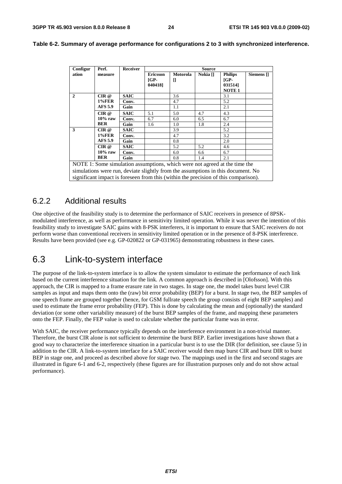| Configur | Perf.                          | <b>Receiver</b> | <b>Source</b>             |                                                                            |                     |                                     |            |
|----------|--------------------------------|-----------------|---------------------------|----------------------------------------------------------------------------|---------------------|-------------------------------------|------------|
| ation    | measure                        |                 | <b>Ericsson</b><br>$IGP-$ | Motorola<br>П                                                              | Nokia <sup>[]</sup> | <b>Philips</b><br>$\overline{G}P$ - | Siemens [] |
|          |                                |                 | 0404181                   |                                                                            |                     | 0315141<br><b>NOTE 1</b>            |            |
| 2        | CIR@                           | <b>SAIC</b>     |                           | 3.6                                                                        |                     | 3.1                                 |            |
|          | <b>1%FER</b><br><b>AFS 5.9</b> | Conv.           |                           | 4.7                                                                        |                     | 5.2                                 |            |
|          |                                | Gain            |                           | 1.1                                                                        |                     | 2.1                                 |            |
|          | CIR@                           | <b>SAIC</b>     | 5.1                       | 5.0                                                                        | 4.7                 | 4.3                                 |            |
|          | $10\%$ raw                     | Conv.           | 6.7                       | 6.0                                                                        | 6.5                 | 6.7                                 |            |
|          | <b>BER</b>                     | Gain            | 1.6                       | 1.0                                                                        | 1.8                 | 2.4                                 |            |
| 3        | CIR @                          | <b>SAIC</b>     |                           | 3.9                                                                        |                     | 5.2                                 |            |
|          | <b>1%FER</b><br><b>AFS 5.9</b> | Conv.           |                           | 4.7                                                                        |                     | 3.2                                 |            |
|          |                                | Gain            |                           | 0.8                                                                        |                     | 2.0                                 |            |
|          | CIR@                           | <b>SAIC</b>     |                           | 5.2                                                                        | 5.2                 | 4.6                                 |            |
|          | $10\%$ raw                     | Conv.           |                           | 6.0                                                                        | 6.6                 | 6.7                                 |            |
|          | <b>BER</b>                     | Gain            |                           | 0.8                                                                        | 1.4                 | 2.1                                 |            |
|          |                                |                 |                           | NOTE 1: Some simulation assumptions, which were not agreed at the time the |                     |                                     |            |

**Table 6-2. Summary of average performance for configurations 2 to 3 with synchronized interference.** 

simulations were run, deviate slightly from the assumptions in this document. No significant impact is foreseen from this (within the precision of this comparison).

#### 6.2.2 Additional results

One objective of the feasibility study is to determine the performance of SAIC receivers in presence of 8PSKmodulated interference, as well as performance in sensitivity limited operation. While it was never the intention of this feasibility study to investigate SAIC gains with 8-PSK interferers, it is important to ensure that SAIC receivers do not perform worse than conventional receivers in sensitivity limited operation or in the presence of 8-PSK interference. Results have been provided (see e.g. GP-020822 or GP-031965) demonstrating robustness in these cases.

## 6.3 Link-to-system interface

The purpose of the link-to-system interface is to allow the system simulator to estimate the performance of each link based on the current interference situation for the link. A common approach is described in [Olofsson]. With this approach, the CIR is mapped to a frame erasure rate in two stages. In stage one, the model takes burst level CIR samples as input and maps them onto the (raw) bit error probability (BEP) for a burst. In stage two, the BEP samples of one speech frame are grouped together (hence, for GSM fullrate speech the group consists of eight BEP samples) and used to estimate the frame error probability (FEP). This is done by calculating the mean and (optionally) the standard deviation (or some other variability measure) of the burst BEP samples of the frame, and mapping these parameters onto the FEP. Finally, the FEP value is used to calculate whether the particular frame was in error.

With SAIC, the receiver performance typically depends on the interference environment in a non-trivial manner. Therefore, the burst CIR alone is not sufficient to determine the burst BEP. Earlier investigations have shown that a good way to characterize the interference situation in a particular burst is to use the DIR (for definition, see clause 5) in addition to the CIR. A link-to-system interface for a SAIC receiver would then map burst CIR and burst DIR to burst BEP in stage one, and proceed as described above for stage two. The mappings used in the first and second stages are illustrated in figure 6-1 and 6-2, respectively (these figures are for illustration purposes only and do not show actual performance).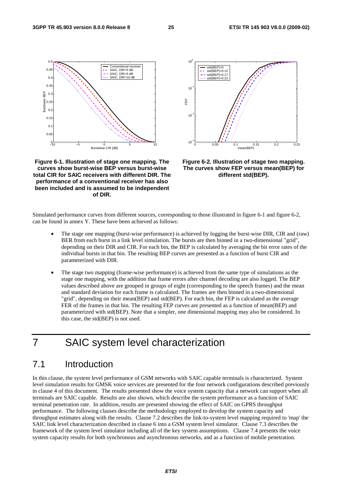

**Figure 6-1. Illustration of stage one mapping. The curves show burst-wise BEP versus burst-wise total CIR for SAIC receivers with different DIR. The performance of a conventional receiver has also been included and is assumed to be independent of DIR.** 



**Figure 6-2. Illustration of stage two mapping. The curves show FEP versus mean(BEP) for different std(BEP).** 

Simulated performance curves from different sources, corresponding to those illustrated in figure 6-1 and figure 6-2, can be found in annex Y. These have been achieved as follows:

- The stage one mapping (burst-wise performance) is achieved by logging the burst-wise DIR, CIR and (raw) BER from each burst in a link level simulation. The bursts are then binned in a two-dimensional "grid", depending on their DIR and CIR. For each bin, the BEP is calculated by averaging the bit error rates of the individual bursts in that bin. The resulting BEP curves are presented as a function of burst CIR and parameterized with DIR.
- The stage two mapping (frame-wise performance) is achieved from the same type of simulations as the stage one mapping, with the addition that frame errors after channel decoding are also logged. The BEP values described above are grouped in groups of eight (corresponding to the speech frames) and the mean and standard deviation for each frame is calculated. The frames are then binned in a two-dimensional "grid", depending on their mean(BEP) and std(BEP). For each bin, the FEP is calculated as the average FER of the frames in that bin. The resulting FEP curves are presented as a function of mean(BEP) and parameterized with std(BEP). Note that a simpler, one dimensional mapping may also be considered. In this case, the std(BEP) is not used.

# 7 SAIC system level characterization

## 7.1 Introduction

In this clause, the system level performance of GSM networks with SAIC capable terminals is characterized. System level simulation results for GMSK voice services are presented for the four network configurations described previously in clause 4 of this document. The results presented show the voice system capacity that a network can support when all terminals are SAIC capable. Results are also shown, which describe the system performance as a function of SAIC terminal penetration rate. In addition, results are presented showing the effect of SAIC on GPRS throughput performance. The following clauses describe the methodology employed to develop the system capacity and throughput estimates along with the results. Clause 7.2 describes the link-to-system level mapping required to 'map' the SAIC link level characterization described in clause 6 into a GSM system level simulator. Clause 7.3 describes the framework of the system level simulator including all of the key system assumptions. Clause 7.4 presents the voice system capacity results for both synchronous and asynchronous networks, and as a function of mobile penetration.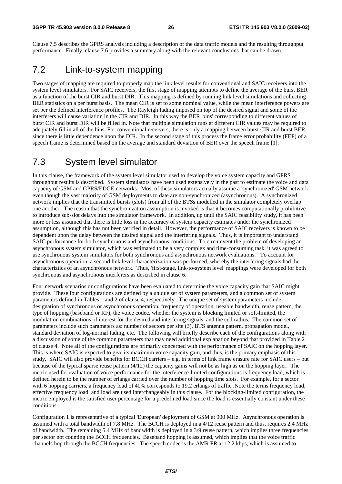Clause 7.5 describes the GPRS analysis including a description of the data traffic models and the resulting throughput performance. Finally, clause 7.6 provides a summary along with the relevant conclusions that can be drawn.

## 7.2 Link-to-system mapping

Two stages of mapping are required to properly map the link level results for conventional and SAIC receivers into the system level simulators. For SAIC receivers, the first stage of mapping attempts to define the average of the burst BER as a function of the burst CIR and burst DIR. This mapping is defined by running link level simulations and collecting BER statistics on a per burst basis. The mean CIR is set to some nominal value, while the mean interference powers are set per the defined interference profiles. The Rayleigh fading imposed on top of the desired signal and some of the interferers will cause variation in the CIR and DIR. In this way the BER 'bins' corresponding to different values of burst CIR and burst DIR will be filled in. Note that multiple simulation runs at different CIR values may be required to adequately fill in all of the bins. For conventional receivers, there is only a mapping between burst CIR and burst BER, since there is little dependence upon the DIR. In the second stage of this process the frame error probability (FEP) of a speech frame is determined based on the average and standard deviation of BER over the speech frame [1].

## 7.3 System level simulator

In this clause, the framework of the system level simulator used to develop the voice system capacity and GPRS throughput results is described. System simulators have been used extensively in the past to estimate the voice and data capacity of GSM and GPRS/EDGE networks. Most of these simulators actually assume a 'synchronized' GSM network even though the vast majority of GSM deployments to date are non-synchronized (asynchronous). A synchronized network implies that the transmitted bursts (slots) from all of the BTSs modelled in the simulator completely overlap one another. The reason that the synchronization assumption is invoked is that it becomes computationally prohibitive to introduce sub-slot delays into the simulator framework. In addition, up until the SAIC feasibility study, it has been more or less assumed that there is little loss in the accuracy of system capacity estimates under the synchronized assumption, although this has not been verified in detail. However, the performance of SAIC receivers is known to be dependent upon the delay between the desired signal and the interfering signals. Thus, it is important to understand SAIC performance for both synchronous and asynchronous conditions. To circumvent the problem of developing an asynchronous system simulator, which was estimated to be a very complex and time-consuming task, it was agreed to use synchronous system simulators for both synchronous and asynchronous network evaluations. To account for asynchronous operation, a second link level characterization was performed, whereby the interfering signals had the characteriztics of an asynchronous network. Thus, 'first-stage, link-to-system level' mappings were developed for both synchronous and asynchronous interferers as described in clause 6.

Four network scenarios or configurations have been evaluated to determine the voice capacity gain that SAIC might provide. These four configurations are defined by a unique set of system parameters, and a common set of system parameters defined in Tables 1 and 2 of clause 4, respectively. The unique set of system parameters include: designation of synchronous or asynchronous operation, frequency of operation, useable bandwidth, reuse pattern, the type of hopping (baseband or RF), the voice codec, whether the system is blocking limited or soft-limited, the modulation combinations of interest for the desired and interfering signals, and the cell radius. The common set of parameters include such parameters as: number of sectors per site (3), BTS antenna pattern, propagation model, standard deviation of log-normal fading, etc. The following will briefly describe each of the configurations along with a discussion of some of the common parameters that may need additional explanation beyond that provided in Table 2 of clause 4. Note all of the configurations are primarily concerned with the performance of SAIC on the hopping layer. This is where SAIC is expected to give its maximum voice capacity gain, and thus, is the primary emphasis of this study. SAIC will also provide benefits for BCCH carriers – e.g. in terms of link frame erasure rate for SAIC users – but because of the typical sparse reuse pattern (4/12) the capacity gains will not be as high as on the hopping layer. The metric used for evaluation of voice performance for the interference-limited configurations is frequency load, which is defined herein to be the number of erlangs carried over the number of hopping time slots. For example, for a sector with 6 hopping carriers, a frequency load of 40% corresponds to 19.2 erlangs of traffic .Note the terms frequency load, effective frequency load, and load are used interchangeably in this clause. For the blocking-limited configuration, the metric employed is the satisfied user percentage for a predefined load since the load is essentially constant under these conditions.

Configuration 1 is representative of a typical 'European' deployment of GSM at 900 MHz. Asynchronous operation is assumed with a total bandwidth of 7.8 MHz. The BCCH is deployed in a 4/12 reuse pattern and thus, requires 2.4 MHz of bandwidth. The remaining 5.4 MHz of bandwidth is deployed in a 3/9 reuse pattern, which implies three frequencies per sector not counting the BCCH frequencies. Baseband hopping is assumed, which implies that the voice traffic channels hop through the BCCH frequencies. The speech codec is the AMR FR at 12.2 kbps, which is assumed to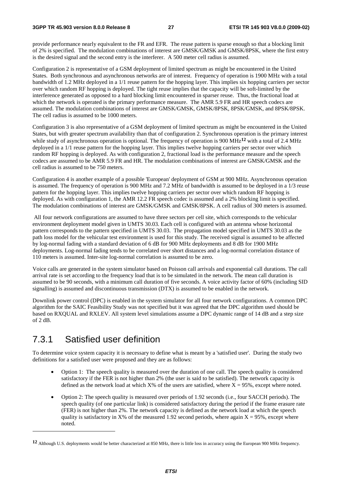provide performance nearly equivalent to the FR and EFR. The reuse pattern is sparse enough so that a blocking limit of 2% is specified. The modulation combinations of interest are GMSK/GMSK and GMSK/8PSK, where the first entry is the desired signal and the second entry is the interferer. A 500 meter cell radius is assumed.

Configuration 2 is representative of a GSM deployment of limited spectrum as might be encountered in the United States. Both synchronous and asynchronous networks are of interest. Frequency of operation is 1900 MHz with a total bandwidth of 1.2 MHz deployed in a 1/1 reuse pattern for the hopping layer. This implies six hopping carriers per sector over which random RF hopping is deployed. The tight reuse implies that the capacity will be soft-limited by the interference generated as opposed to a hard blocking limit encountered in sparser reuse. Thus, the fractional load at which the network is operated is the primary performance measure. The AMR 5.9 FR and HR speech codecs are assumed. The modulation combinations of interest are GMSK/GMSK, GMSK/8PSK, 8PSK/GMSK, and 8PSK/8PSK. The cell radius is assumed to be 1000 meters.

Configuration 3 is also representative of a GSM deployment of limited spectrum as might be encountered in the United States, but with greater spectrum availability than that of configuration 2. Synchronous operation is the primary interest while study of asynchronous operation is optional. The frequency of operation is 900 MHz**12** with a total of 2.4 MHz deployed in a 1/1 reuse pattern for the hopping layer. This implies twelve hopping carriers per sector over which random RF hopping is deployed. As with configuration 2, fractional load is the performance measure and the speech codecs are assumed to be AMR 5.9 FR and HR. The modulation combinations of interest are GMSK/GMSK and the cell radius is assumed to be 750 meters.

Configuration 4 is another example of a possible 'European' deployment of GSM at 900 MHz. Asynchronous operation is assumed. The frequency of operation is 900 MHz and 7.2 MHz of bandwidth is assumed to be deployed in a 1/3 reuse pattern for the hopping layer. This implies twelve hopping carriers per sector over which random RF hopping is deployed. As with configuration 1, the AMR 12.2 FR speech codec is assumed and a 2% blocking limit is specified. The modulation combinations of interest are GMSK/GMSK and GMSK/8PSK. A cell radius of 300 meters is assumed.

 All four network configurations are assumed to have three sectors per cell site, which corresponds to the vehicular environment deployment model given in UMTS 30.03. Each cell is configured with an antenna whose horizontal pattern corresponds to the pattern specified in UMTS 30.03. The propagation model specified in UMTS 30.03 as the path loss model for the vehicular test environment is used for this study. The received signal is assumed to be affected by log-normal fading with a standard deviation of 6 dB for 900 MHz deployments and 8 dB for 1900 MHz deployments. Log-normal fading tends to be correlated over short distances and a log-normal correlation distance of 110 meters is assumed. Inter-site log-normal correlation is assumed to be zero.

Voice calls are generated in the system simulator based on Poisson call arrivals and exponential call durations. The call arrival rate is set according to the frequency load that is to be simulated in the network. The mean call duration is assumed to be 90 seconds, with a minimum call duration of five seconds. A voice activity factor of 60% (including SID signalling) is assumed and discontinuous transmission (DTX) is assumed to be enabled in the network.

Downlink power control (DPC) is enabled in the system simulator for all four network configurations. A common DPC algorithm for the SAIC Feasibility Study was not specified but it was agreed that the DPC algorithm used should be based on RXQUAL and RXLEV. All system level simulations assume a DPC dynamic range of 14 dB and a step size of 2 dB.

## 7.3.1 Satisfied user definition

-

To determine voice system capacity it is necessary to define what is meant by a 'satisfied user'. During the study two definitions for a satisfied user were proposed and they are as follows:

- Option 1: The speech quality is measured over the duration of one call. The speech quality is considered satisfactory if the FER is not higher than 2% (the user is said to be satisfied). The network capacity is defined as the network load at which  $X\%$  of the users are satisfied, where  $X = 95\%$ , except where noted.
- Option 2: The speech quality is measured over periods of 1.92 seconds (i.e., four SACCH periods). The speech quality (of one particular link) is considered satisfactory during the period if the frame erasure rate (FER) is not higher than 2%. The network capacity is defined as the network load at which the speech quality is satisfactory in X% of the measured 1.92 second periods, where again  $X = 95\%$ , except where noted.

**<sup>12</sup>** Although U.S. deployments would be better characterized at 850 MHz, there is little loss in accuracy using the European 900 MHz frequency.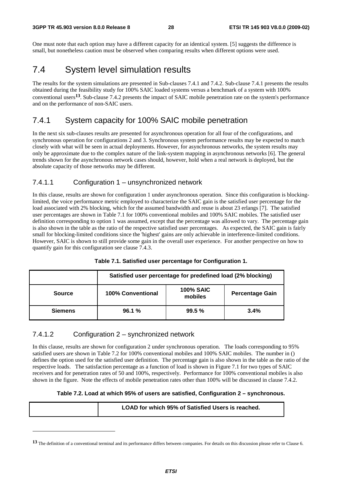One must note that each option may have a different capacity for an identical system. [5] suggests the difference is small, but nonetheless caution must be observed when comparing results when different options were used.

## 7.4 System level simulation results

The results for the system simulations are presented in Sub-clauses 7.4.1 and 7.4.2. Sub-clause 7.4.1 presents the results obtained during the feasibility study for 100% SAIC loaded systems versus a benchmark of a system with 100% conventional users**13**. Sub-clause 7.4.2 presents the impact of SAIC mobile penetration rate on the system's performance and on the performance of non-SAIC users.

#### 7.4.1 System capacity for 100% SAIC mobile penetration

In the next six sub-clauses results are presented for asynchronous operation for all four of the configurations, and synchronous operation for configurations 2 and 3. Synchronous system performance results may be expected to match closely with what will be seen in actual deployments. However, for asynchronous networks, the system results may only be approximate due to the complex nature of the link-system mapping in asynchronous networks [6]. The general trends shown for the asynchronous network cases should, however, hold when a real network is deployed, but the absolute capacity of those networks may be different.

#### 7.4.1.1 Configuration 1 – unsynchronized network

In this clause, results are shown for configuration 1 under asynchronous operation. Since this configuration is blockinglimited, the voice performance metric employed to characterize the SAIC gain is the satisfied user percentage for the load associated with 2% blocking, which for the assumed bandwidth and reuse is about 23 erlangs [7]. The satisfied user percentages are shown in Table 7.1 for 100% conventional mobiles and 100% SAIC mobiles. The satisfied user definition corresponding to option 1 was assumed, except that the percentage was allowed to vary. The percentage gain is also shown in the table as the ratio of the respective satisfied user percentages. As expected, the SAIC gain is fairly small for blocking-limited conditions since the 'highest' gains are only achievable in interference-limited conditions. However, SAIC is shown to still provide some gain in the overall user experience. For another perspective on how to quantify gain for this configuration see clause 7.4.3.

|                | Satisfied user percentage for predefined load (2% blocking) |                             |                        |  |  |
|----------------|-------------------------------------------------------------|-----------------------------|------------------------|--|--|
| <b>Source</b>  | <b>100% Conventional</b>                                    | <b>100% SAIC</b><br>mobiles | <b>Percentage Gain</b> |  |  |
| <b>Siemens</b> | 96.1%                                                       | 99.5%                       | 3.4%                   |  |  |

| Table 7.1. Satisfied user percentage for Configuration 1. |  |  |
|-----------------------------------------------------------|--|--|
|-----------------------------------------------------------|--|--|

#### 7.4.1.2 Configuration 2 – synchronized network

-

In this clause, results are shown for configuration 2 under synchronous operation. The loads corresponding to 95% satisfied users are shown in Table 7.2 for 100% conventional mobiles and 100% SAIC mobiles. The number in () defines the option used for the satisfied user definition. The percentage gain is also shown in the table as the ratio of the respective loads. The satisfaction percentage as a function of load is shown in Figure 7.1 for two types of SAIC receivers and for penetration rates of 50 and 100%, respectively. Performance for 100% conventional mobiles is also shown in the figure. Note the effects of mobile penetration rates other than 100% will be discussed in clause 7.4.2.

#### **Table 7.2. Load at which 95% of users are satisfied, Configuration 2 – synchronous.**

|  | LOAD for which 95% of Satisfied Users is reached. |
|--|---------------------------------------------------|
|--|---------------------------------------------------|

<sup>13</sup> The definition of a conventional terminal and its performance differs between companies. For details on this discussion please refer to Clause 6.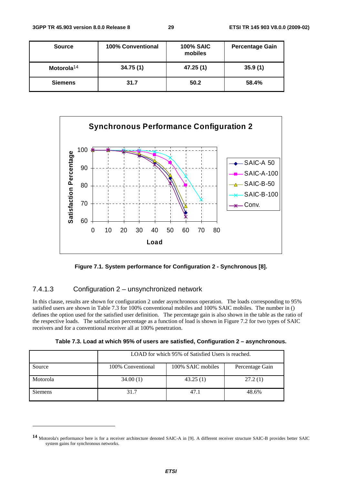| <b>Source</b>          | 100% Conventional | <b>100% SAIC</b><br>mobiles | <b>Percentage Gain</b> |
|------------------------|-------------------|-----------------------------|------------------------|
| Motorola <sup>14</sup> | 34.75(1)          | 47.25 (1)                   | 35.9(1)                |
| <b>Siemens</b>         | 31.7              | 50.2                        | 58.4%                  |



**Figure 7.1. System performance for Configuration 2 - Synchronous [8].** 

#### 7.4.1.3 Configuration 2 – unsynchronized network

-

In this clause, results are shown for configuration 2 under asynchronous operation. The loads corresponding to 95% satisfied users are shown in Table 7.3 for 100% conventional mobiles and 100% SAIC mobiles. The number in () defines the option used for the satisfied user definition. The percentage gain is also shown in the table as the ratio of the respective loads. The satisfaction percentage as a function of load is shown in Figure 7.2 for two types of SAIC receivers and for a conventional receiver all at 100% penetration.

|                | LOAD for which 95% of Satisfied Users is reached. |                   |                 |  |
|----------------|---------------------------------------------------|-------------------|-----------------|--|
| Source         | 100% Conventional                                 | 100% SAIC mobiles | Percentage Gain |  |
| Motorola       | 34.00(1)                                          | 43.25(1)          | 27.2(1)         |  |
| <b>Siemens</b> | 31.7                                              | 47.1              | 48.6%           |  |

**<sup>14</sup>** Motorola's performance here is for a receiver architecture denoted SAIC-A in [9]. A different receiver structure SAIC-B provides better SAIC system gains for synchronous networks.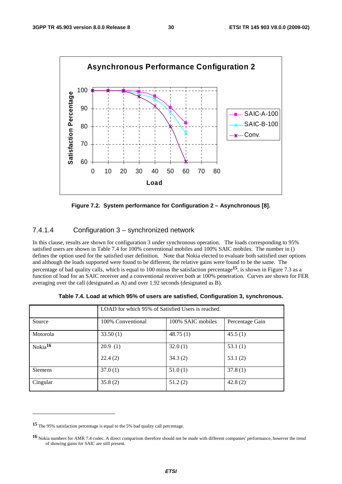

**Figure 7.2. System performance for Configuration 2 – Asynchronous [8].**

#### 7.4.1.4 Configuration 3 – synchronized network

In this clause, results are shown for configuration 3 under synchronous operation. The loads corresponding to 95% satisfied users are shown in Table 7.4 for 100% conventional mobiles and 100% SAIC mobiles. The number in () defines the option used for the satisfied user definition. Note that Nokia elected to evaluate both satisfied user options and although the loads supported were found to be different, the relative gains were found to be the same. The percentage of bad quality calls, which is equal to 100 minus the satisfaction percentage**15**, is shown in Figure 7.3 as a function of load for an SAIC receiver and a conventional receiver both at 100% penetration. Curves are shown for FER averaging over the call (designated as A) and over 1.92 seconds (designated as B).

|                     | LOAD for which 95% of Satisfied Users is reached. |                   |                 |  |
|---------------------|---------------------------------------------------|-------------------|-----------------|--|
| Source              | 100% Conventional                                 | 100% SAIC mobiles | Percentage Gain |  |
| Motorola            | 33.50(1)                                          | 48.75(1)          | 45.5(1)         |  |
| Nokia <sup>16</sup> | 20.9(1)                                           | 32.0(1)           | 53.1(1)         |  |
|                     | 22.4(2)                                           | 34.3(2)           | 53.1(2)         |  |
| Siemens             | 37.0(1)                                           | 51.0(1)           | 37.8(1)         |  |
| Cingular            | 35.8(2)                                           | 51.2(2)           | 42.8(2)         |  |

**Table 7.4. Load at which 95% of users are satisfied, Configuration 3, synchronous.** 

**<sup>15</sup>** The 95% satisfaction percentage is equal to the 5% bad quality call percentage.

**<sup>16</sup>** Nokia numbers for AMR 7.4 codec. A direct comparison therefore should not be made with different companies' performance, however the trend of showing gains for SAIC are still present.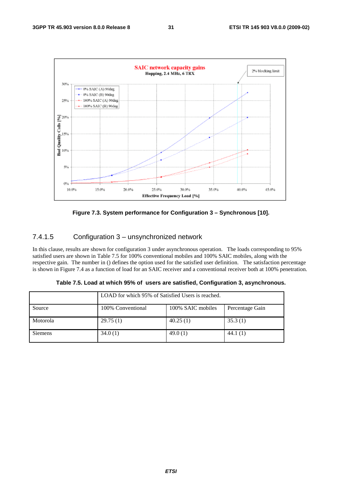



### 7.4.1.5 Configuration 3 – unsynchronized network

In this clause, results are shown for configuration 3 under asynchronous operation. The loads corresponding to 95% satisfied users are shown in Table 7.5 for 100% conventional mobiles and 100% SAIC mobiles, along with the respective gain. The number in () defines the option used for the satisfied user definition. The satisfaction percentage is shown in Figure 7.4 as a function of load for an SAIC receiver and a conventional receiver both at 100% penetration.

|                | LOAD for which 95% of Satisfied Users is reached. |                   |                 |  |
|----------------|---------------------------------------------------|-------------------|-----------------|--|
| Source         | 100% Conventional                                 | 100% SAIC mobiles | Percentage Gain |  |
| Motorola       | 29.75(1)                                          | 40.25(1)          | 35.3(1)         |  |
| <b>Siemens</b> | 34.0(1)                                           | 49.0(1)           | 44.1(1)         |  |

**Table 7.5. Load at which 95% of users are satisfied, Configuration 3, asynchronous.**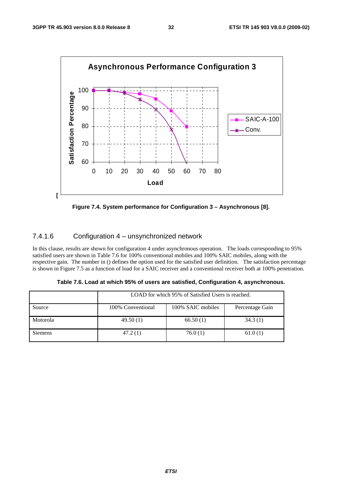

**Figure 7.4. System performance for Configuration 3 – Asynchronous [8].**

#### 7.4.1.6 Configuration 4 – unsynchronized network

In this clause, results are shown for configuration 4 under asynchronous operation. The loads corresponding to 95% satisfied users are shown in Table 7.6 for 100% conventional mobiles and 100% SAIC mobiles, along with the respective gain. The number in () defines the option used for the satisfied user definition. The satisfaction percentage is shown in Figure 7.5 as a function of load for a SAIC receiver and a conventional receiver both at 100% penetration.

|                | LOAD for which 95% of Satisfied Users is reached. |                   |                 |  |  |
|----------------|---------------------------------------------------|-------------------|-----------------|--|--|
| Source         | 100% Conventional                                 | 100% SAIC mobiles | Percentage Gain |  |  |
| Motorola       | 49.50(1)                                          | 66.50(1)          | 34.3(1)         |  |  |
| <b>Siemens</b> | 47.2(1)                                           | 76.0(1)           | 61.0(1)         |  |  |

**Table 7.6. Load at which 95% of users are satisfied, Configuration 4, asynchronous.**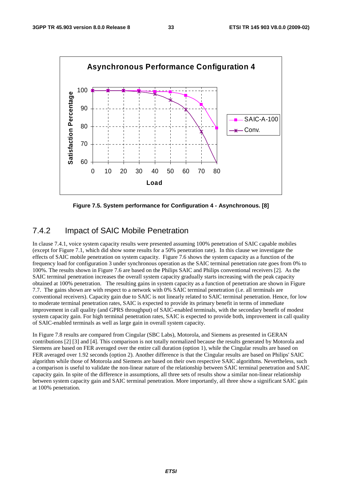

**Figure 7.5. System performance for Configuration 4 - Asynchronous. [8]**

#### 7.4.2 Impact of SAIC Mobile Penetration

In clause 7.4.1, voice system capacity results were presented assuming 100% penetration of SAIC capable mobiles (except for Figure 7.1, which did show some results for a 50% penetration rate). In this clause we investigate the effects of SAIC mobile penetration on system capacity. Figure 7.6 shows the system capacity as a function of the frequency load for configuration 3 under synchronous operation as the SAIC terminal penetration rate goes from 0% to 100%. The results shown in Figure 7.6 are based on the Philips SAIC and Philips conventional receivers [2]. As the SAIC terminal penetration increases the overall system capacity gradually starts increasing with the peak capacity obtained at 100% penetration. The resulting gains in system capacity as a function of penetration are shown in Figure 7.7. The gains shown are with respect to a network with 0% SAIC terminal penetration (i.e. all terminals are conventional receivers). Capacity gain due to SAIC is not linearly related to SAIC terminal penetration. Hence, for low to moderate terminal penetration rates, SAIC is expected to provide its primary benefit in terms of immediate improvement in call quality (and GPRS throughput) of SAIC-enabled terminals, with the secondary benefit of modest system capacity gain. For high terminal penetration rates, SAIC is expected to provide both, improvement in call quality of SAIC-enabled terminals as well as large gain in overall system capacity.

In Figure 7.8 results are compared from Cingular (SBC Labs), Motorola, and Siemens as presented in GERAN contributions [2] [3] and [4]. This comparison is not totally normalized because the results generated by Motorola and Siemens are based on FER averaged over the entire call duration (option 1), while the Cingular results are based on FER averaged over 1.92 seconds (option 2). Another difference is that the Cingular results are based on Philips' SAIC algorithm while those of Motorola and Siemens are based on their own respective SAIC algorithms. Nevertheless, such a comparison is useful to validate the non-linear nature of the relationship between SAIC terminal penetration and SAIC capacity gain. In spite of the difference in assumptions, all three sets of results show a similar non-linear relationship between system capacity gain and SAIC terminal penetration. More importantly, all three show a significant SAIC gain at 100% penetration.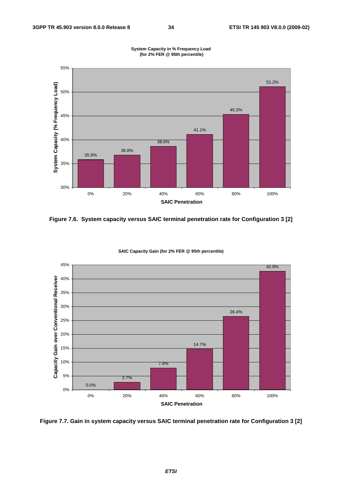

**System Capacity in % Frequency Load (for 2% FER @ 95th percentile)**

**Figure 7.6. System capacity versus SAIC terminal penetration rate for Configuration 3 [2]** 



**SAIC Capacity Gain (for 2% FER @ 95th percentile)**

**Figure 7.7. Gain in system capacity versus SAIC terminal penetration rate for Configuration 3 [2]**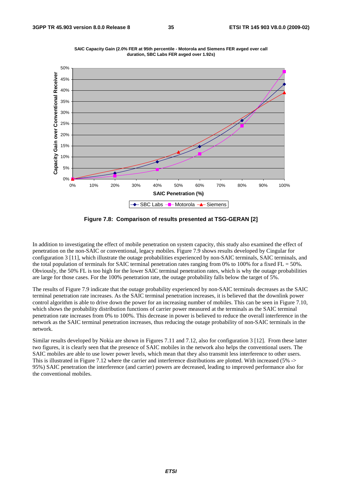

**SAIC Capacity Gain (2.0% FER at 95th percentile - Motorola and Siemens FER avged over call duration, SBC Labs FER avged over 1.92s)**

**Figure 7.8: Comparison of results presented at TSG-GERAN [2]** 

In addition to investigating the effect of mobile penetration on system capacity, this study also examined the effect of penetration on the non-SAIC or conventional, legacy mobiles. Figure 7.9 shows results developed by Cingular for configuration 3 [11], which illustrate the outage probabilities experienced by non-SAIC terminals, SAIC terminals, and the total population of terminals for SAIC terminal penetration rates ranging from 0% to 100% for a fixed  $FL = 50%$ . Obviously, the 50% FL is too high for the lower SAIC terminal penetration rates, which is why the outage probabilities are large for those cases. For the 100% penetration rate, the outage probability falls below the target of 5%.

The results of Figure 7.9 indicate that the outage probability experienced by non-SAIC terminals decreases as the SAIC terminal penetration rate increases. As the SAIC terminal penetration increases, it is believed that the downlink power control algorithm is able to drive down the power for an increasing number of mobiles. This can be seen in Figure 7.10, which shows the probability distribution functions of carrier power measured at the terminals as the SAIC terminal penetration rate increases from 0% to 100%. This decrease in power is believed to reduce the overall interference in the network as the SAIC terminal penetration increases, thus reducing the outage probability of non-SAIC terminals in the network.

Similar results developed by Nokia are shown in Figures 7.11 and 7.12, also for configuration 3 [12]. From these latter two figures, it is clearly seen that the presence of SAIC mobiles in the network also helps the conventional users. The SAIC mobiles are able to use lower power levels, which mean that they also transmit less interference to other users. This is illustrated in Figure 7.12 where the carrier and interference distributions are plotted. With increased (5% -> 95%) SAIC penetration the interference (and carrier) powers are decreased, leading to improved performance also for the conventional mobiles.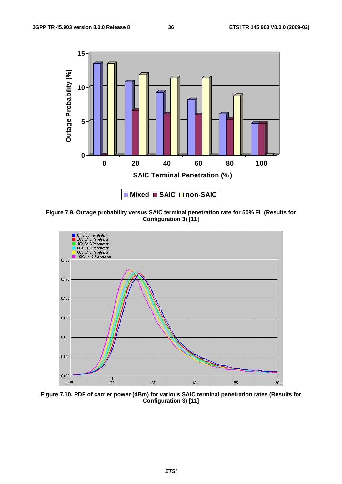

**Figure 7.9. Outage probability versus SAIC terminal penetration rate for 50% FL (Results for Configuration 3) [11]** 



**Figure 7.10. PDF of carrier power (dBm) for various SAIC terminal penetration rates (Results for Configuration 3) [11]**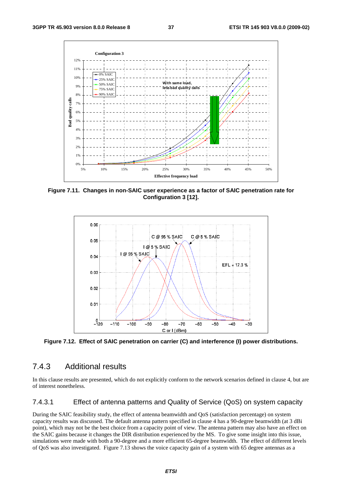

**Figure 7.11. Changes in non-SAIC user experience as a factor of SAIC penetration rate for Configuration 3 [12].** 



**Figure 7.12. Effect of SAIC penetration on carrier (C) and interference (I) power distributions.** 

#### 7.4.3 Additional results

In this clause results are presented, which do not explicitly conform to the network scenarios defined in clause 4, but are of interest nonetheless.

#### 7.4.3.1 Effect of antenna patterns and Quality of Service (QoS) on system capacity

During the SAIC feasibility study, the effect of antenna beamwidth and QoS (satisfaction percentage) on system capacity results was discussed. The default antenna pattern specified in clause 4 has a 90-degree beamwidth (at 3 dBi point), which may not be the best choice from a capacity point of view. The antenna pattern may also have an effect on the SAIC gains because it changes the DIR distribution experienced by the MS. To give some insight into this issue, simulations were made with both a 90-degree and a more efficient 65-degree beamwidth. The effect of different levels of QoS was also investigated. Figure 7.13 shows the voice capacity gain of a system with 65 degree antennas as a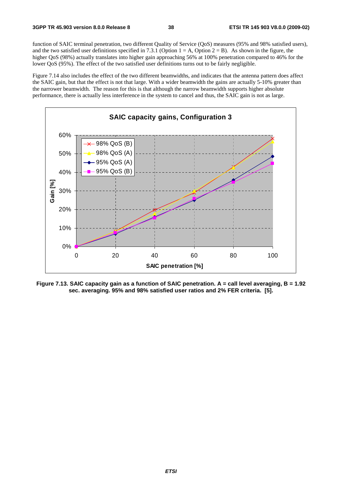function of SAIC terminal penetration, two different Quality of Service (QoS) measures (95% and 98% satisfied users), and the two satisfied user definitions specified in 7.3.1 (Option  $1 = A$ , Option  $2 = B$ ). As shown in the figure, the higher QoS (98%) actually translates into higher gain approaching 56% at 100% penetration compared to 46% for the lower QoS (95%). The effect of the two satisfied user definitions turns out to be fairly negligible.

Figure 7.14 also includes the effect of the two different beamwidths, and indicates that the antenna pattern does affect the SAIC gain, but that the effect is not that large. With a wider beamwidth the gains are actually 5-10% greater than the narrower beamwidth. The reason for this is that although the narrow beamwidth supports higher absolute performance, there is actually less interference in the system to cancel and thus, the SAIC gain is not as large.



**Figure 7.13. SAIC capacity gain as a function of SAIC penetration. A = call level averaging, B = 1.92 sec. averaging. 95% and 98% satisfied user ratios and 2% FER criteria. [5].**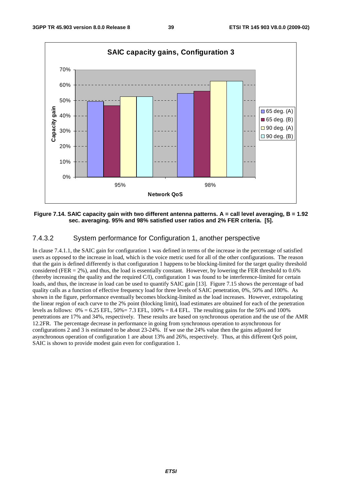

#### **Figure 7.14. SAIC capacity gain with two different antenna patterns. A = call level averaging, B = 1.92 sec. averaging. 95% and 98% satisfied user ratios and 2% FER criteria. [5].**

#### 7.4.3.2 System performance for Configuration 1, another perspective

In clause 7.4.1.1, the SAIC gain for configuration 1 was defined in terms of the increase in the percentage of satisfied users as opposed to the increase in load, which is the voice metric used for all of the other configurations. The reason that the gain is defined differently is that configuration 1 happens to be blocking-limited for the target quality threshold considered (FER  $= 2\%$ ), and thus, the load is essentially constant. However, by lowering the FER threshold to 0.6% (thereby increasing the quality and the required C/I), configuration 1 was found to be interference-limited for certain loads, and thus, the increase in load can be used to quantify SAIC gain [13]. Figure 7.15 shows the percentage of bad quality calls as a function of effective frequency load for three levels of SAIC penetration, 0%, 50% and 100%. As shown in the figure, performance eventually becomes blocking-limited as the load increases. However, extrapolating the linear region of each curve to the 2% point (blocking limit), load estimates are obtained for each of the penetration levels as follows:  $0\% = 6.25$  EFL,  $50\% = 7.3$  EFL,  $100\% = 8.4$  EFL. The resulting gains for the 50% and 100% penetrations are 17% and 34%, respectively. These results are based on synchronous operation and the use of the AMR 12.2FR. The percentage decrease in performance in going from synchronous operation to asynchronous for configurations 2 and 3 is estimated to be about 23-24%. If we use the 24% value then the gains adjusted for asynchronous operation of configuration 1 are about 13% and 26%, respectively. Thus, at this different QoS point, SAIC is shown to provide modest gain even for configuration 1.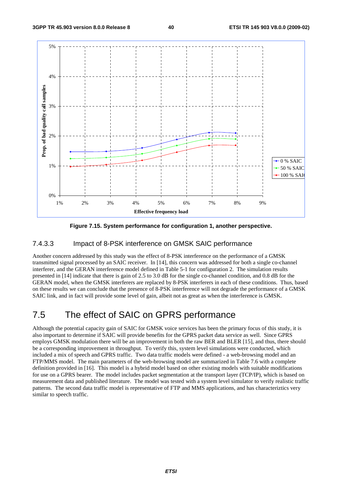

**Figure 7.15. System performance for configuration 1, another perspective.** 

#### 7.4.3.3 Impact of 8-PSK interference on GMSK SAIC performance

Another concern addressed by this study was the effect of 8-PSK interference on the performance of a GMSK transmitted signal processed by an SAIC receiver. In [14], this concern was addressed for both a single co-channel interferer, and the GERAN interference model defined in Table 5-1 for configuration 2. The simulation results presented in [14] indicate that there is gain of 2.5 to 3.0 dB for the single co-channel condition, and 0.8 dB for the GERAN model, when the GMSK interferers are replaced by 8-PSK interferers in each of these conditions. Thus, based on these results we can conclude that the presence of 8-PSK interference will not degrade the performance of a GMSK SAIC link, and in fact will provide some level of gain, albeit not as great as when the interference is GMSK.

## 7.5 The effect of SAIC on GPRS performance

Although the potential capacity gain of SAIC for GMSK voice services has been the primary focus of this study, it is also important to determine if SAIC will provide benefits for the GPRS packet data service as well. Since GPRS employs GMSK modulation there will be an improvement in both the raw BER and BLER [15], and thus, there should be a corresponding improvement in throughput. To verify this, system level simulations were conducted, which included a mix of speech and GPRS traffic. Two data traffic models were defined - a web-browsing model and an FTP/MMS model. The main parameters of the web-browsing model are summarized in Table 7.6 with a complete definition provided in [16]. This model is a hybrid model based on other existing models with suitable modifications for use on a GPRS bearer. The model includes packet segmentation at the transport layer (TCP/IP), which is based on measurement data and published literature. The model was tested with a system level simulator to verify realistic traffic patterns. The second data traffic model is representative of FTP and MMS applications, and has characteriztics very similar to speech traffic.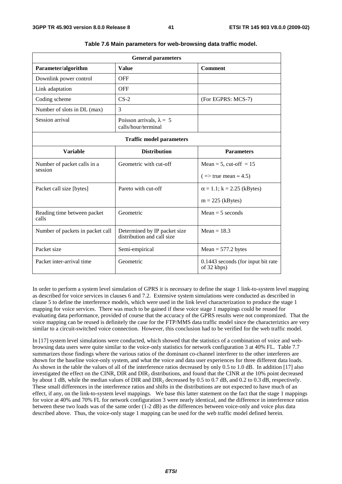| <b>General parameters</b>              |                                                            |                                                   |  |  |
|----------------------------------------|------------------------------------------------------------|---------------------------------------------------|--|--|
| Parameter/algorithm                    | <b>Value</b>                                               | <b>Comment</b>                                    |  |  |
| Downlink power control                 | <b>OFF</b>                                                 |                                                   |  |  |
| Link adaptation                        | <b>OFF</b>                                                 |                                                   |  |  |
| Coding scheme                          | $CS-2$                                                     | (For EGPRS: MCS-7)                                |  |  |
| Number of slots in DL (max)            | 3                                                          |                                                   |  |  |
| Session arrival                        | Poisson arrivals, $\lambda = 5$<br>calls/hour/terminal     |                                                   |  |  |
|                                        | <b>Traffic model parameters</b>                            |                                                   |  |  |
| <b>Variable</b>                        | <b>Distribution</b>                                        | <b>Parameters</b>                                 |  |  |
| Number of packet calls in a<br>session | Geometric with cut-off                                     | Mean = 5, cut-off = $15$                          |  |  |
|                                        |                                                            | $( \Rightarrow$ true mean $\approx 4.5)$          |  |  |
| Packet call size [bytes]               | Pareto with cut-off                                        | $\alpha$ = 1.1; k = 2.25 (kBytes)                 |  |  |
|                                        |                                                            | $m = 225$ (kBytes)                                |  |  |
| Reading time between packet<br>calls   | Geometric                                                  | $Mean = 5 seconds$                                |  |  |
| Number of packets in packet call       | Determined by IP packet size<br>distribution and call size | Mean $= 18.3$                                     |  |  |
| Packet size                            | Semi-empirical                                             | $Mean = 577.2 bytes$                              |  |  |
| Packet inter-arrival time              | Geometric                                                  | 0.1443 seconds (for input bit rate<br>of 32 kbps) |  |  |

|  |  |  | Table 7.6 Main parameters for web-browsing data traffic model. |
|--|--|--|----------------------------------------------------------------|
|--|--|--|----------------------------------------------------------------|

In order to perform a system level simulation of GPRS it is necessary to define the stage 1 link-to-system level mapping as described for voice services in clauses 6 and 7.2. Extensive system simulations were conducted as described in clause 5 to define the interference models, which were used in the link level characterization to produce the stage 1 mapping for voice services. There was much to be gained if these voice stage 1 mappings could be reused for evaluating data performance, provided of course that the accuracy of the GPRS results were not compromized. That the voice mapping can be reused is definitely the case for the FTP/MMS data traffic model since the characteriztics are very similar to a circuit-switched voice connection. However, this conclusion had to be verified for the web traffic model.

In [17] system level simulations were conducted, which showed that the statistics of a combination of voice and webbrowsing data users were quite similar to the voice-only statistics for network configuration 3 at 40% FL. Table 7.7 summarizes those findings where the various ratios of the dominant co-channel interferer to the other interferers are shown for the baseline voice-only system, and what the voice and data user experiences for three different data loads. As shown in the table the values of all of the interference ratios decreased by only 0.5 to 1.0 dB. In addition [17] also investigated the effect on the CINR, DIR and DIR2 distributions, and found that the CINR at the 10% point decreased by about 1 dB, while the median values of DIR and DIR2 decreased by 0.5 to 0.7 dB, and 0.2 to 0.3 dB, respectively. These small differences in the interference ratios and shifts in the distributions are not expected to have much of an effect, if any, on the link-to-system level mappings. We base this latter statement on the fact that the stage 1 mappings for voice at 40% and 70% FL for network configuration 3 were nearly identical, and the difference in interference ratios between these two loads was of the same order (1-2 dB) as the differences between voice-only and voice plus data described above. Thus, the voice-only stage 1 mapping can be used for the web traffic model defined herein.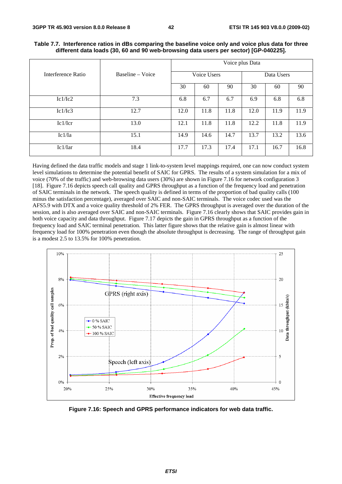|                    |                  |             |      |      | Voice plus Data |      |      |
|--------------------|------------------|-------------|------|------|-----------------|------|------|
| Interference Ratio | Baseline – Voice | Voice Users |      |      | Data Users      |      |      |
|                    |                  | 30          | 60   | 90   | 30              | 60   | 90   |
| Ic1/Ic2            | 7.3              | 6.8         | 6.7  | 6.7  | 6.9             | 6.8  | 6.8  |
| Ic1/Ic3            | 12.7             | 12.0        | 11.8 | 11.8 | 12.0            | 11.9 | 11.9 |
| Ic1/Icr            | 13.0             | 12.1        | 11.8 | 11.8 | 12.2            | 11.8 | 11.9 |
| Ic1/Ia             | 15.1             | 14.9        | 14.6 | 14.7 | 13.7            | 13.2 | 13.6 |
| Ic1/Iar            | 18.4             | 17.7        | 17.3 | 17.4 | 17.1            | 16.7 | 16.8 |

**Table 7.7. Interference ratios in dBs comparing the baseline voice only and voice plus data for three different data loads (30, 60 and 90 web-browsing data users per sector) [GP-040225].** 

Having defined the data traffic models and stage 1 link-to-system level mappings required, one can now conduct system level simulations to determine the potential benefit of SAIC for GPRS. The results of a system simulation for a mix of voice (70% of the traffic) and web-browsing data users (30%) are shown in Figure 7.16 for network configuration 3 [18]. Figure 7.16 depicts speech call quality and GPRS throughput as a function of the frequency load and penetration of SAIC terminals in the network. The speech quality is defined in terms of the proportion of bad quality calls (100 minus the satisfaction percentage), averaged over SAIC and non-SAIC terminals. The voice codec used was the AFS5.9 with DTX and a voice quality threshold of 2% FER. The GPRS throughput is averaged over the duration of the session, and is also averaged over SAIC and non-SAIC terminals. Figure 7.16 clearly shows that SAIC provides gain in both voice capacity and data throughput. Figure 7.17 depicts the gain in GPRS throughput as a function of the frequency load and SAIC terminal penetration. This latter figure shows that the relative gain is almost linear with frequency load for 100% penetration even though the absolute throughput is decreasing. The range of throughput gain is a modest 2.5 to 13.5% for 100% penetration.



**Figure 7.16: Speech and GPRS performance indicators for web data traffic.**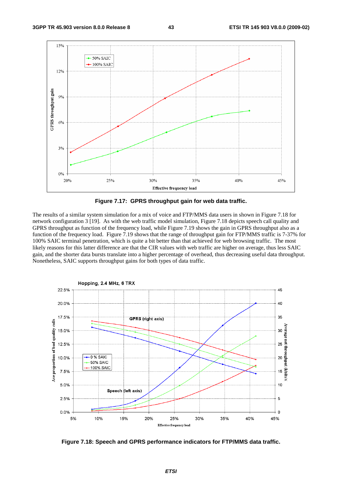



The results of a similar system simulation for a mix of voice and FTP/MMS data users in shown in Figure 7.18 for network configuration 3 [19]. As with the web traffic model simulation, Figure 7.18 depicts speech call quality and GPRS throughput as function of the frequency load, while Figure 7.19 shows the gain in GPRS throughput also as a function of the frequency load. Figure 7.19 shows that the range of throughput gain for FTP/MMS traffic is 7-37% for 100% SAIC terminal penetration, which is quite a bit better than that achieved for web browsing traffic. The most likely reasons for this latter difference are that the CIR values with web traffic are higher on average, thus less SAIC gain, and the shorter data bursts translate into a higher percentage of overhead, thus decreasing useful data throughput. Nonetheless, SAIC supports throughput gains for both types of data traffic.



**Figure 7.18: Speech and GPRS performance indicators for FTP/MMS data traffic.**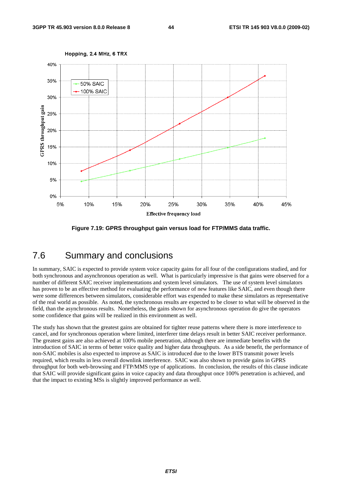

**Figure 7.19: GPRS throughput gain versus load for FTP/MMS data traffic.** 

## 7.6 Summary and conclusions

In summary, SAIC is expected to provide system voice capacity gains for all four of the configurations studied, and for both synchronous and asynchronous operation as well. What is particularly impressive is that gains were observed for a number of different SAIC receiver implementations and system level simulators. The use of system level simulators has proven to be an effective method for evaluating the performance of new features like SAIC, and even though there were some differences between simulators, considerable effort was expended to make these simulators as representative of the real world as possible. As noted, the synchronous results are expected to be closer to what will be observed in the field, than the asynchronous results. Nonetheless, the gains shown for asynchronous operation do give the operators some confidence that gains will be realized in this environment as well.

The study has shown that the greatest gains are obtained for tighter reuse patterns where there is more interference to cancel, and for synchronous operation where limited, interferer time delays result in better SAIC receiver performance. The greatest gains are also achieved at 100% mobile penetration, although there are immediate benefits with the introduction of SAIC in terms of better voice quality and higher data throughputs. As a side benefit, the performance of non-SAIC mobiles is also expected to improve as SAIC is introduced due to the lower BTS transmit power levels required, which results in less overall downlink interference. SAIC was also shown to provide gains in GPRS throughput for both web-browsing and FTP/MMS type of applications. In conclusion, the results of this clause indicate that SAIC will provide significant gains in voice capacity and data throughput once 100% penetration is achieved, and that the impact to existing MSs is slightly improved performance as well.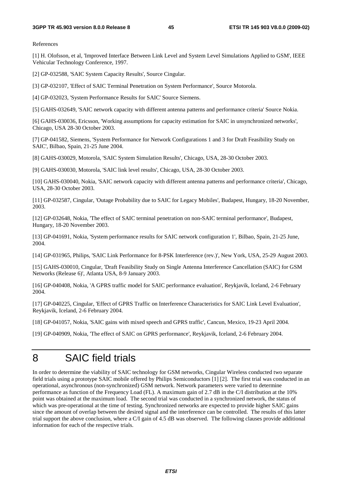References

[1] H. Olofsson, et al, 'Improved Interface Between Link Level and System Level Simulations Applied to GSM', IEEE Vehicular Technology Conference, 1997.

[2] GP-032588, 'SAIC System Capacity Results', Source Cingular.

[3] GP-032107, 'Effect of SAIC Terminal Penetration on System Performance', Source Motorola.

[4] GP-032023, 'System Performance Results for SAIC' Source Siemens.

[5] GAHS-032649, 'SAIC network capacity with different antenna patterns and performance criteria' Source Nokia.

[6] GAHS-030036, Ericsson, 'Working assumptions for capacity estimation for SAIC in unsynchronized networks', Chicago, USA 28-30 October 2003.

[7] GP-041582, Siemens, 'System Performance for Network Configurations 1 and 3 for Draft Feasibility Study on SAIC', Bilbao, Spain, 21-25 June 2004.

[8] GAHS-030029, Motorola, 'SAIC System Simulation Results', Chicago, USA, 28-30 October 2003.

[9] GAHS-030030, Motorola, 'SAIC link level results', Chicago, USA, 28-30 October 2003.

[10] GAHS-030040, Nokia, 'SAIC network capacity with different antenna patterns and performance criteria', Chicago, USA, 28-30 October 2003.

[11] GP-032587, Cingular, 'Outage Probability due to SAIC for Legacy Mobiles', Budapest, Hungary, 18-20 November, 2003.

[12] GP-032648, Nokia, 'The effect of SAIC terminal penetration on non-SAIC terminal performance', Budapest, Hungary, 18-20 November 2003.

[13] GP-041691, Nokia, 'System performance results for SAIC network configuration 1', Bilbao, Spain, 21-25 June, 2004.

[14] GP-031965, Philips, 'SAIC Link Performance for 8-PSK Interference (rev.)', New York, USA, 25-29 August 2003.

[15] GAHS-030010, Cingular, 'Draft Feasibility Study on Single Antenna Interference Cancellation (SAIC) for GSM Networks (Release 6)', Atlanta USA, 8-9 January 2003.

[16] GP-040408, Nokia, 'A GPRS traffic model for SAIC performance evaluation', Reykjavik, Iceland, 2-6 February 2004.

[17] GP-040225, Cingular, 'Effect of GPRS Traffic on Interference Characteristics for SAIC Link Level Evaluation', Reykjavik, Iceland, 2-6 February 2004.

[18] GP-041057, Nokia, 'SAIC gains with mixed speech and GPRS traffic', Cancun, Mexico, 19-23 April 2004.

[19] GP-040909, Nokia, 'The effect of SAIC on GPRS performance', Reykjavik, Iceland, 2-6 February 2004.

# 8 SAIC field trials

In order to determine the viability of SAIC technology for GSM networks, Cingular Wireless conducted two separate field trials using a prototype SAIC mobile offered by Philips Semiconductors [1] [2]. The first trial was conducted in an operational, asynchronous (non-synchronized) GSM network. Network parameters were varied to determine performance as function of the Frequency Load (FL). A maximum gain of 2.7 dB in the C/I distribution at the 10% point was obtained at the maximum load. The second trial was conducted in a synchronized network, the status of which was pre-operational at the time of testing. Synchronized networks are expected to provide higher SAIC gains since the amount of overlap between the desired signal and the interference can be controlled. The results of this latter trial support the above conclusion, where a C/I gain of 4.5 dB was observed. The following clauses provide additional information for each of the respective trials.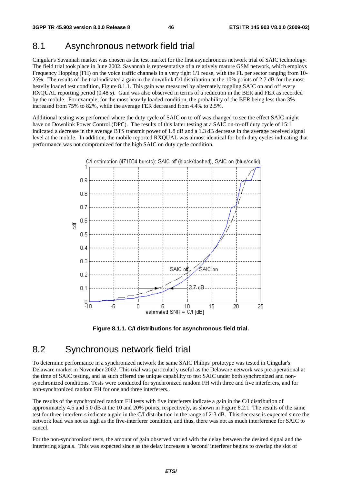### 8.1 Asynchronous network field trial

Cingular's Savannah market was chosen as the test market for the first asynchronous network trial of SAIC technology. The field trial took place in June 2002. Savannah is representative of a relatively mature GSM network, which employs Frequency Hopping (FH) on the voice traffic channels in a very tight 1/1 reuse, with the FL per sector ranging from 10- 25%. The results of the trial indicated a gain in the downlink C/I distribution at the 10% points of 2.7 dB for the most heavily loaded test condition, Figure 8.1.1. This gain was measured by alternately toggling SAIC on and off every RXQUAL reporting period (0.48 s). Gain was also observed in terms of a reduction in the BER and FER as recorded by the mobile. For example, for the most heavily loaded condition, the probability of the BER being less than 3% increased from 75% to 82%, while the average FER decreased from 4.4% to 2.5%.

Additional testing was performed where the duty cycle of SAIC on to off was changed to see the effect SAIC might have on Downlink Power Control (DPC). The results of this latter testing at a SAIC on-to-off duty cycle of 15:1 indicated a decrease in the average BTS transmit power of 1.8 dB and a 1.3 dB decrease in the average received signal level at the mobile. In addition, the mobile reported RXQUAL was almost identical for both duty cycles indicating that performance was not compromized for the high SAIC on duty cycle condition.



**Figure 8.1.1. C/I distributions for asynchronous field trial.** 

#### 8.2 Synchronous network field trial

To determine performance in a synchronized network the same SAIC Philips' prototype was tested in Cingular's Delaware market in November 2002. This trial was particularly useful as the Delaware network was pre-operational at the time of SAIC testing, and as such offered the unique capability to test SAIC under both synchronized and nonsynchronized conditions. Tests were conducted for synchronized random FH with three and five interferers, and for non-synchronized random FH for one and three interferers..

The results of the synchronized random FH tests with five interferers indicate a gain in the C/I distribution of approximately 4.5 and 5.0 dB at the 10 and 20% points, respectively, as shown in Figure 8.2.1. The results of the same test for three interferers indicate a gain in the C/I distribution in the range of 2-3 dB. This decrease is expected since the network load was not as high as the five-interferer condition, and thus, there was not as much interference for SAIC to cancel.

For the non-synchronized tests, the amount of gain observed varied with the delay between the desired signal and the interfering signals. This was expected since as the delay increases a 'second' interferer begins to overlap the slot of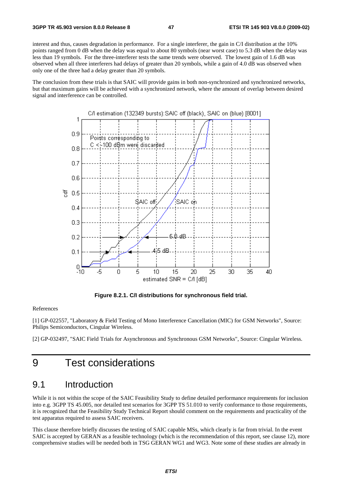interest and thus, causes degradation in performance. For a single interferer, the gain in C/I distribution at the 10% points ranged from 0 dB when the delay was equal to about 80 symbols (near worst case) to 5.3 dB when the delay was less than 19 symbols. For the three-interferer tests the same trends were observed. The lowest gain of 1.6 dB was observed when all three interferers had delays of greater than 20 symbols, while a gain of 4.0 dB was observed when only one of the three had a delay greater than 20 symbols.

The conclusion from these trials is that SAIC will provide gains in both non-synchronized and synchronized networks, but that maximum gains will be achieved with a synchronized network, where the amount of overlap between desired signal and interference can be controlled.



**Figure 8.2.1. C/I distributions for synchronous field trial.** 

#### References

[1] GP-022557, "Laboratory & Field Testing of Mono Interference Cancellation (MIC) for GSM Networks", Source: Philips Semiconductors, Cingular Wireless.

[2] GP-032497, "SAIC Field Trials for Asynchronous and Synchronous GSM Networks", Source: Cingular Wireless.

# 9 Test considerations

#### 9.1 Introduction

While it is not within the scope of the SAIC Feasibility Study to define detailed performance requirements for inclusion into e.g. 3GPP TS 45.005, nor detailed test scenarios for 3GPP TS 51.010 to verify conformance to those requirements, it is recognized that the Feasibility Study Technical Report should comment on the requirements and practicality of the test apparatus required to assess SAIC receivers.

This clause therefore briefly discusses the testing of SAIC capable MSs, which clearly is far from trivial. In the event SAIC is accepted by GERAN as a feasible technology (which is the recommendation of this report, see clause 12), more comprehensive studies will be needed both in TSG GERAN WG1 and WG3. Note some of these studies are already in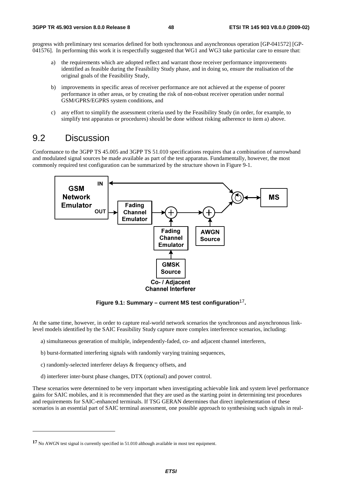progress with preliminary test scenarios defined for both synchronous and asynchronous operation [GP-041572] [GP-041576]. In performing this work it is respectfully suggested that WG1 and WG3 take particular care to ensure that:

- a) the requirements which are adopted reflect and warrant those receiver performance improvements identified as feasible during the Feasibility Study phase, and in doing so, ensure the realisation of the original goals of the Feasibility Study,
- b) improvements in specific areas of receiver performance are not achieved at the expense of poorer performance in other areas, or by creating the risk of non-robust receiver operation under normal GSM/GPRS/EGPRS system conditions, and
- c) any effort to simplify the assessment criteria used by the Feasibility Study (in order, for example, to simplify test apparatus or procedures) should be done without risking adherence to item a) above.

#### 9.2 Discussion

Conformance to the 3GPP TS 45.005 and 3GPP TS 51.010 specifications requires that a combination of narrowband and modulated signal sources be made available as part of the test apparatus. Fundamentally, however, the most commonly required test configuration can be summarized by the structure shown in Figure 9-1.



**Figure 9.1: Summary – current MS test configuration**17**.** 

At the same time, however, in order to capture real-world network scenarios the synchronous and asynchronous linklevel models identified by the SAIC Feasibility Study capture more complex interference scenarios, including:

- a) simultaneous generation of multiple, independently-faded, co- and adjacent channel interferers,
- b) burst-formatted interfering signals with randomly varying training sequences,
- c) randomly-selected interferer delays & frequency offsets, and

-

d) interferer inter-burst phase changes, DTX (optional) and power control.

These scenarios were determined to be very important when investigating achievable link and system level performance gains for SAIC mobiles, and it is recommended that they are used as the starting point in determining test procedures and requirements for SAIC-enhanced terminals. If TSG GERAN determines that direct implementation of these scenarios is an essential part of SAIC terminal assessment, one possible approach to synthesising such signals in real-

**<sup>17</sup>** No AWGN test signal is currently specified in 51.010 although available in most test equipment.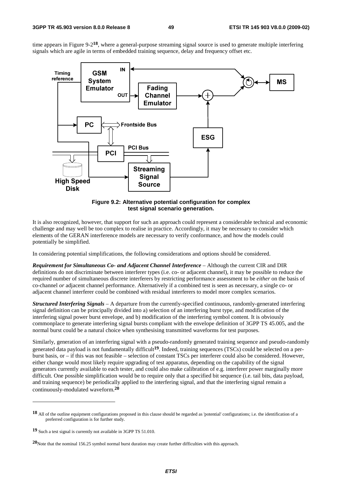time appears in Figure 9-2**18**, where a general-purpose streaming signal source is used to generate multiple interfering signals which are agile in terms of embedded training sequence, delay and frequency offset etc.



**Figure 9.2: Alternative potential configuration for complex test signal scenario generation.** 

It is also recognized, however, that support for such an approach could represent a considerable technical and economic challenge and may well be too complex to realise in practice. Accordingly, it may be necessary to consider which elements of the GERAN interference models are necessary to verify conformance, and how the models could potentially be simplified.

In considering potential simplifications, the following considerations and options should be considered.

*Requirement for Simultaneous Co- and Adjacent Channel Interference* – Although the current CIR and DIR definitions do not discriminate between interferer types (i.e. co- or adjacent channel), it may be possible to reduce the required number of simultaneous discrete interferers by restricting performance assessment to be *either* on the basis of co-channel *or* adjacent channel performance. Alternatively if a combined test is seen as necessary, a single co- or adjacent channel interferer could be combined with residual interferers to model more complex scenarios.

*Structured Interfering Signals* – A departure from the currently-specified continuous, randomly-generated interfering signal definition can be principally divided into a) selection of an interfering burst type, and modification of the interfering signal power burst envelope, and b) modification of the interfering symbol content. It is obviously commonplace to generate interfering signal bursts compliant with the envelope definition of 3GPP TS 45.005, and the normal burst could be a natural choice when synthesising transmitted waveforms for test purposes.

Similarly, generation of an interfering signal with a pseudo-randomly generated training sequence and pseudo-randomly generated data payload is not fundamentally difficult**19**. Indeed, training sequences (TSCs) could be selected on a perburst basis, or – if this was not feasible – selection of constant TSCs per interferer could also be considered. However, either change would most likely require upgrading of test apparatus, depending on the capability of the signal generators currently available to each tester, and could also make calibration of e.g. interferer power marginally more difficult. One possible simplification would be to require only that a specified bit sequence (i.e. tail bits, data payload, and training sequence) be periodically applied to the interfering signal, and that the interfering signal remain a continuously-modulated waveform.**<sup>20</sup>**

**<sup>18</sup>** All of the outline equipment configurations proposed in this clause should be regarded as 'potential' configurations; i.e. the identification of a preferred configuration is for further study.

**<sup>19</sup>** Such a test signal is currently not available in 3GPP TS 51.010.

**<sup>20</sup>**Note that the nominal 156.25 symbol normal burst duration may create further difficulties with this approach.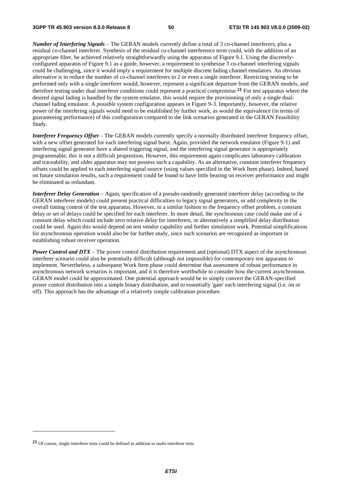*Number of Interfering Signals* – The GERAN models currently define a total of 3 co-channel interferers, plus a residual co-channel interferer. Synthesis of the residual co-channel interference term could, with the addition of an appropriate filter, be achieved relatively straightforwardly using the apparatus of Figure 9.1. Using the discretelyconfigured apparatus of Figure 9.1 as a guide, however, a requirement to synthesise 3 co-channel interfering signals could be challenging, since it would imply a requirement for multiple discrete fading channel emulators. An obvious alternative is to reduce the number of co-channel interferers to 2 or even a single interferer. Restricting testing to be performed only with a single interferer would, however, represent a significant departure from the GERAN models, and therefore testing under dual interferer conditions could represent a practical compromise.**21** For test apparatus where the desired signal fading is handled by the system emulator, this would require the provisioning of only a single dualchannel fading emulator. A *possible* system configuration appears in Figure 9-3. Importantly, however, the relative power of the interfering signals would need to be established by further work, as would the equivalence (in terms of guaranteeing performance) of this configuration compared to the link scenarios generated in the GERAN Feasibility Study.

*Interferer Frequency Offset* – The GERAN models currently specify a normally distributed interferer frequency offset, with a new offset generated for each interfering signal burst. Again, provided the network emulator (Figure 9-1) and interfering signal generator have a shared triggering signal, and the interfering signal generator is appropriately programmable, this is not a difficult proposition. However, this requirement again complicates laboratory calibration and traceability, and older apparatus may not possess such a capability. As an alternative, constant interferer frequency offsets could be applied to each interfering signal source (using values specified in the Work Item phase). Indeed, based on future simulation results, such a requirement could be found to have little bearing on receiver performance and might be eliminated as redundant.

*Interferer Delay Generation* – Again, specification of a pseudo-randomly generated interferer delay (according to the GERAN interferer models) could present practical difficulties to legacy signal generators, or add complexity to the overall timing control of the test apparatus. However, in a similar fashion to the frequency offset problem, a constant delay or set of delays could be specified for each interferer. In more detail, the synchronous case could make use of a constant delay which could include zero relative delay for interferers, or alternatively a simplified delay distribution could be used. Again this would depend on test vendor capability and further simulation work. Potential simplifications for asynchronous operation would also be for further study, since such scenarios are recognized as important in establishing robust receiver operation.

*Power Control and DTX* – The power control distribution requirement and (optional) DTX aspect of the asynchronous interferer scenario could also be potentially difficult (although not impossible) for contemporary test apparatus to implement. Nevertheless, a subsequent Work Item phase could determine that assessment of robust performance in asynchronous network scenarios is important, and it is therefore worthwhile to consider how the current asynchronous GERAN model could be approximated. One potential approach would be to simply convert the GERAN-specified power control distribution into a simple binary distribution, and to essentially 'gate' each interfering signal (i.e. on or off). This approach has the advantage of a relatively simple calibration procedure.

**<sup>21</sup>** Of course, single-interferer tests could be defined in addition to multi-interferer tests.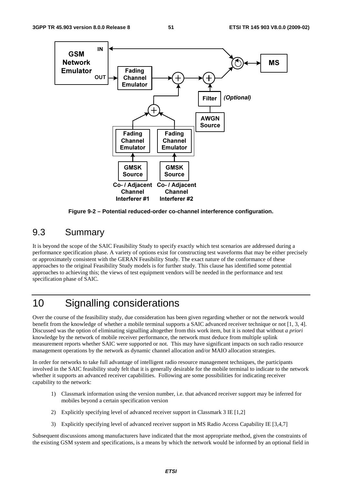

**Figure 9-2 – Potential reduced-order co-channel interference configuration.** 

## 9.3 Summary

It is beyond the scope of the SAIC Feasibility Study to specify exactly which test scenarios are addressed during a performance specification phase. A variety of options exist for constructing test waveforms that may be either precisely or approximately consistent with the GERAN Feasibility Study. The exact nature of the conformance of these approaches to the original Feasibility Study models is for further study. This clause has identified some potential approaches to achieving this; the views of test equipment vendors will be needed in the performance and test specification phase of SAIC.

# 10 Signalling considerations

Over the course of the feasibility study, due consideration has been given regarding whether or not the network would benefit from the knowledge of whether a mobile terminal supports a SAIC advanced receiver technique or not [1, 3, 4]. Discussed was the option of eliminating signalling altogether from this work item, but it is noted that without *a priori* knowledge by the network of mobile receiver performance, the network must deduce from multiple uplink measurement reports whether SAIC were supported or not. This may have significant impacts on such radio resource management operations by the network as dynamic channel allocation and/or MAIO allocation strategies.

In order for networks to take full advantage of intelligent radio resource management techniques, the participants involved in the SAIC feasibility study felt that it is generally desirable for the mobile terminal to indicate to the network whether it supports an advanced receiver capabilities. Following are some possibilities for indicating receiver capability to the network:

- 1) Classmark information using the version number, i.e. that advanced receiver support may be inferred for mobiles beyond a certain specification version
- 2) Explicitly specifying level of advanced receiver support in Classmark 3 IE [1,2]
- 3) Explicitly specifying level of advanced receiver support in MS Radio Access Capability IE [3,4,7]

Subsequent discussions among manufacturers have indicated that the most appropriate method, given the constraints of the existing GSM system and specifications, is a means by which the network would be informed by an optional field in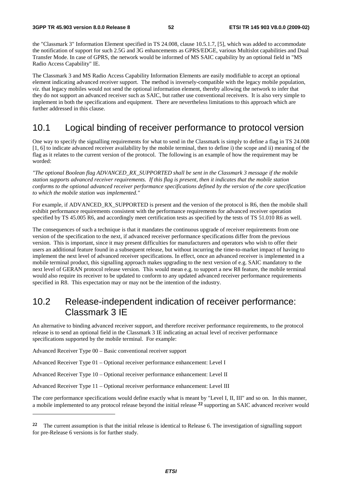the "Classmark 3" Information Element specified in TS 24.008, clause 10.5.1.7, [5], which was added to accommodate the notification of support for such 2.5G and 3G enhancements as GPRS/EDGE, various Multislot capabilities and Dual Transfer Mode. In case of GPRS, the network would be informed of MS SAIC capability by an optional field in "MS Radio Access Capability" IE.

The Classmark 3 and MS Radio Access Capability Information Elements are easily modifiable to accept an optional element indicating advanced receiver support. The method is inversely-compatible with the legacy mobile population, *viz*. that legacy mobiles would not send the optional information element, thereby allowing the network to infer that they do not support an advanced receiver such as SAIC, but rather use conventional receivers. It is also very simple to implement in both the specifications and equipment. There are nevertheless limitations to this approach which are further addressed in this clause.

## 10.1 Logical binding of receiver performance to protocol version

One way to specify the signalling requirements for what to send in the Classmark is simply to define a flag in TS 24.008 [1, 6] to indicate advanced receiver availability by the mobile terminal, then to define i) the scope and ii) meaning of the flag as it relates to the current version of the protocol. The following is an example of how the requirement may be worded:

*"The optional Boolean flag ADVANCED\_RX\_SUPPORTED shall be sent in the Classmark 3 message if the mobile station supports advanced receiver requirements. If this flag is present, then it indicates that the mobile station conforms to the optional advanced receiver performance specifications defined by the version of the core specification to which the mobile station was implemented."* 

For example, if ADVANCED\_RX\_SUPPORTED is present and the version of the protocol is R6, then the mobile shall exhibit performance requirements consistent with the performance requirements for advanced receiver operation specified by TS 45.005 R6, and accordingly meet certification tests as specified by the tests of TS 51.010 R6 as well.

The consequences of such a technique is that it mandates the continuous upgrade of receiver requirements from one version of the specification to the next, if advanced receiver performance specifications differ from the previous version. This is important, since it may present difficulties for manufacturers and operators who wish to offer their users an additional feature found in a subsequent release, but without incurring the time-to-market impact of having to implement the next level of advanced receiver specifications. In effect, once an advanced receiver is implemented in a mobile terminal product, this signalling approach makes upgrading to the next version of e.g. SAIC mandatory to the next level of GERAN protocol release version. This would mean e.g. to support a new R8 feature, the mobile terminal would also require its receiver to be updated to conform to any updated advanced receiver performance requirements specified in R8. This expectation may or may not be the intention of the industry.

## 10.2 Release-independent indication of receiver performance: Classmark 3 IE

An alternative to binding advanced receiver support, and therefore receiver performance requirements, to the protocol release is to send an optional field in the Classmark 3 IE indicating an actual level of receiver performance specifications supported by the mobile terminal. For example:

Advanced Receiver Type 00 – Basic conventional receiver support

-

Advanced Receiver Type 01 – Optional receiver performance enhancement: Level I

Advanced Receiver Type 10 – Optional receiver performance enhancement: Level II

Advanced Receiver Type 11 – Optional receiver performance enhancement: Level III

The core performance specifications would define exactly what is meant by "Level I, II, III" and so on. In this manner, a mobile implemented to any protocol release beyond the initial release **22** supporting an SAIC advanced receiver would

**<sup>22</sup>** The current assumption is that the initial release is identical to Release 6. The investigation of signalling support for pre-Release 6 versions is for further study.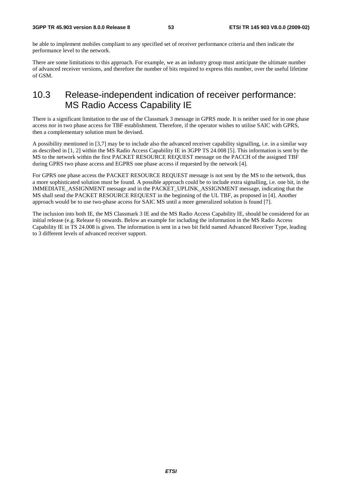be able to implement mobiles compliant to any specified set of receiver performance criteria and then indicate the performance level to the network.

There are some limitations to this approach. For example, we as an industry group must anticipate the ultimate number of advanced receiver versions, and therefore the number of bits required to express this number, over the useful lifetime of GSM.

## 10.3 Release-independent indication of receiver performance: MS Radio Access Capability IE

There is a significant limitation to the use of the Classmark 3 message in GPRS mode. It is neither used for in one phase access nor in two phase access for TBF establishment. Therefore, if the operator wishes to utilise SAIC with GPRS, then a complementary solution must be devised.

A possibility mentioned in [3,7] may be to include also the advanced receiver capability signalling, i.e. in a similar way as described in [1, 2] within the MS Radio Access Capability IE in 3GPP TS 24.008 [5]. This information is sent by the MS to the network within the first PACKET RESOURCE REQUEST message on the PACCH of the assigned TBF during GPRS two phase access and EGPRS one phase access if requested by the network [4].

For GPRS one phase access the PACKET RESOURCE REQUEST message is not sent by the MS to the network, thus a more sophisticated solution must be found. A possible approach could be to include extra signalling, i.e. one bit, in the IMMEDIATE\_ASSIGNMENT message and in the PACKET\_UPLINK\_ASSIGNMENT message, indicating that the MS shall send the PACKET RESOURCE REQUEST in the beginning of the UL TBF, as proposed in [4]. Another approach would be to use two-phase access for SAIC MS until a more generalized solution is found [7].

The inclusion into both IE, the MS Classmark 3 IE and the MS Radio Access Capability IE, should be considered for an initial release (e.g. Release 6) onwards. Below an example for including the information in the MS Radio Access Capability IE in TS 24.008 is given. The information is sent in a two bit field named Advanced Receiver Type, leading to 3 different levels of advanced receiver support.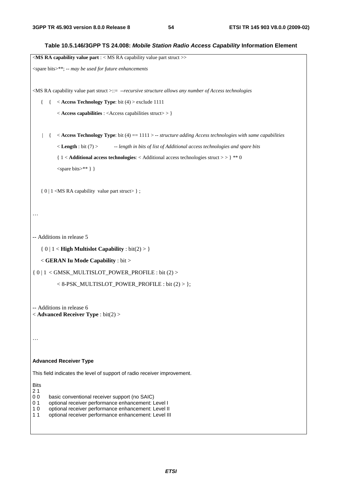```
Table 10.5.146/3GPP TS 24.008: Mobile Station Radio Access Capability Information Element 
<MS RA capability value part : < MS RA capability value part struct >> 
<spare bits>**; -- may be used for future enhancements 
<MS RA capability value part struct >::= --recursive structure allows any number of Access technologies
    { { < Access Technology Type: bit (4) > exclude 1111 
            < Access capabilities : <Access capabilities struct> > } 
     | { < Access Technology Type: bit (4) == 1111 > -- structure adding Access technologies with same capabilities
            < Length : bit (7) > -- length in bits of list of Additional access technologies and spare bits
            { 1 < Additional access technologies: < Additional access technologies struct > > } ** 0 
            <spare bits>** } } 
    { 0 | 1 <MS RA capability value part struct> } ; 
… 
-- Additions in release 5 
    { 0 | 1 < High Multislot Capability : bit(2) > } 
    < GERAN Iu Mode Capability : bit > 
\{ 0 | 1 < GMSK_MULTISLOT_POWER_PROFILE : bit (2) >
            < 8-PSK_MULTISLOT_POWER_PROFILE : bit (2) > }; 
-- Additions in release 6 
< Advanced Receiver Type : bit(2) > 
… 
Advanced Receiver Type 
This field indicates the level of support of radio receiver improvement.
Bits
\begin{array}{c} 2 1 \\ 0 0 \end{array}basic conventional receiver support (no SAIC)
0 1 optional receiver performance enhancement: Level I
10 optional receiver performance enhancement: Level II
11 optional receiver performance enhancement: Level III
```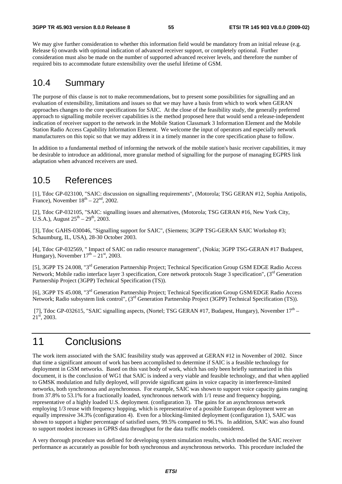We may give further consideration to whether this information field would be mandatory from an initial release (e.g. Release 6) onwards with optional indication of advanced receiver support, or completely optional. Further consideration must also be made on the number of supported advanced receiver levels, and therefore the number of required bits to accommodate future extensibility over the useful lifetime of GSM.

### 10.4 Summary

The purpose of this clause is not to make recommendations, but to present some possibilities for signalling and an evaluation of extensibility, limitations and issues so that we may have a basis from which to work when GERAN approaches changes to the core specifications for SAIC. At the close of the feasibility study, the generally preferred approach to signalling mobile receiver capabilities is the method proposed here that would send a release-independent indication of receiver support to the network in the Mobile Station Classmark 3 Information Element and the Mobile Station Radio Access Capability Information Element. We welcome the input of operators and especially network manufacturers on this topic so that we may address it in a timely manner in the core specification phase to follow.

In addition to a fundamental method of informing the network of the mobile station's basic receiver capabilities, it may be desirable to introduce an additional, more granular method of signalling for the purpose of managing EGPRS link adaptation when advanced receivers are used.

## 10.5 References

[1], Tdoc GP-023100, "SAIC: discussion on signalling requirements", (Motorola; TSG GERAN #12, Sophia Antipolis, France), November  $18<sup>th</sup> - 22<sup>nd</sup>$ , 2002.

[2], Tdoc GP-032105, "SAIC: signalling issues and alternatives, (Motorola; TSG GERAN #16, New York City, U.S.A.), August  $25^{th} - 29^{th}$ , 2003.

[3], Tdoc GAHS-030046, "Signalling support for SAIC", (Siemens; 3GPP TSG-GERAN SAIC Workshop #3; Schaumburg, IL, USA), 28-30 October 2003.

[4], Tdoc GP-032569, " Impact of SAIC on radio resource management", (Nokia; 3GPP TSG-GERAN #17 Budapest, Hungary), November  $17<sup>th</sup> - 21<sup>st</sup>$ , 2003.

[5], 3GPP TS 24.008, "3rd Generation Partnership Project; Technical Specification Group GSM EDGE Radio Access Network; Mobile radio interface layer 3 specification, Core network protocols Stage 3 specification",  $(3<sup>rd</sup>$  Generation Partnership Project (3GPP) Technical Specification (TS)).

[6], 3GPP TS 45.008, "3rd Generation Partnership Project; Technical Specification Group GSM/EDGE Radio Access Network; Radio subsystem link control", (3rd Generation Partnership Project (3GPP) Technical Specification (TS)).

[7], Tdoc GP-032615, "SAIC signalling aspects, (Nortel; TSG GERAN #17, Budapest, Hungary), November  $17<sup>th</sup>$  –  $21<sup>st</sup>$ , 2003.

# 11 Conclusions

The work item associated with the SAIC feasibility study was approved at GERAN #12 in November of 2002. Since that time a significant amount of work has been accomplished to determine if SAIC is a feasible technology for deployment in GSM networks. Based on this vast body of work, which has only been briefly summarized in this document, it is the conclusion of WG1 that SAIC is indeed a very viable and feasible technology, and that when applied to GMSK modulation and fully deployed, will provide significant gains in voice capacity in interference-limited networks, both synchronous and asynchronous. For example, SAIC was shown to support voice capacity gains ranging from 37.8% to 53.1% for a fractionally loaded, synchronous network with 1/1 reuse and frequency hopping, representative of a highly loaded U.S. deployment. (configuration 3). The gains for an asynchronous network employing 1/3 reuse with frequency hopping, which is representative of a possible European deployment were an equally impressive 34.3% (configuration 4). Even for a blocking-limited deployment (configuration 1), SAIC was shown to support a higher percentage of satisfied users, 99.5% compared to 96.1%. In addition, SAIC was also found to support modest increases in GPRS data throughput for the data traffic models considered.

A very thorough procedure was defined for developing system simulation results, which modelled the SAIC receiver performance as accurately as possible for both synchronous and asynchronous networks. This procedure included the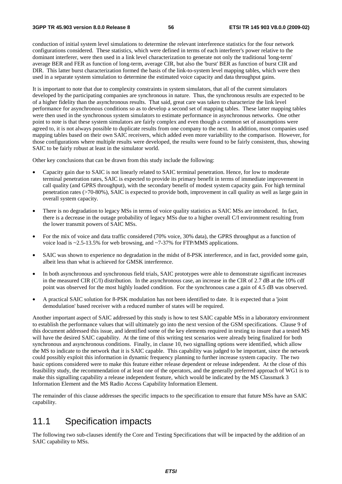conduction of initial system level simulations to determine the relevant interference statistics for the four network configurations considered. These statistics, which were defined in terms of each interferer's power relative to the dominant interferer, were then used in a link level characterization to generate not only the traditional 'long-term' average BER and FER as function of long-term, average CIR, but also the 'burst' BER as function of burst CIR and DIR. This latter burst characterization formed the basis of the link-to-system level mapping tables, which were then used in a separate system simulation to determine the estimated voice capacity and data throughput gains.

It is important to note that due to complexity constraints in system simulators, that all of the current simulators developed by the participating companies are synchronous in nature. Thus, the synchronous results are expected to be of a higher fidelity than the asynchronous results. That said, great care was taken to characterize the link level performance for asynchronous conditions so as to develop a second set of mapping tables. These latter mapping tables were then used in the synchronous system simulators to estimate performance in asynchronous networks. One other point to note is that these system simulators are fairly complex and even though a common set of assumptions were agreed to, it is not always possible to duplicate results from one company to the next. In addition, most companies used mapping tables based on their own SAIC receivers, which added even more variability to the comparison. However, for those configurations where multiple results were developed, the results were found to be fairly consistent, thus, showing SAIC to be fairly robust at least in the simulator world.

Other key conclusions that can be drawn from this study include the following:

- Capacity gain due to SAIC is not linearly related to SAIC terminal penetration. Hence, for low to moderate terminal penetration rates, SAIC is expected to provide its primary benefit in terms of immediate improvement in call quality (and GPRS throughput), with the secondary benefit of modest system capacity gain. For high terminal penetration rates (>70-80%), SAIC is expected to provide both, improvement in call quality as well as large gain in overall system capacity.
- There is no degradation to legacy MSs in terms of voice quality statistics as SAIC MSs are introduced. In fact, there is a decrease in the outage probability of legacy MSs due to a higher overall C/I environment resulting from the lower transmit powers of SAIC MSs.
- For the mix of voice and data traffic considered (70% voice, 30% data), the GPRS throughput as a function of voice load is ~2.5-13.5% for web browsing, and ~7-37% for FTP/MMS applications.
- SAIC was shown to experience no degradation in the midst of 8-PSK interference, and in fact, provided some gain, albeit less than what is achieved for GMSK interference.
- In both asynchronous and synchronous field trials, SAIC prototypes were able to demonstrate significant increases in the measured CIR (C/I) distribution. In the asynchronous case, an increase in the CIR of 2.7 dB at the 10% cdf point was observed for the most highly loaded condition. For the synchronous case a gain of 4.5 dB was observed.
- A practical SAIC solution for 8-PSK modulation has not been identified to date. It is expected that a 'joint demodulation' based receiver with a reduced number of states will be required.

Another important aspect of SAIC addressed by this study is how to test SAIC capable MSs in a laboratory environment to establish the performance values that will ultimately go into the next version of the GSM specifications. Clause 9 of this document addressed this issue, and identified some of the key elements required in testing to insure that a tested MS will have the desired SAIC capability. At the time of this writing test scenarios were already being finalized for both synchronous and asynchronous conditions. Finally, in clause 10, two signalling options were identified, which allow the MS to indicate to the network that it is SAIC capable. This capability was judged to be important, since the network could possibly exploit this information in dynamic frequency planning to further increase system capacity. The two basic options considered were to make this feature either release dependent or release independent. At the close of this feasibility study, the recommendation of at least one of the operators, and the generally preferred approach of WG1 is to make this signalling capability a release independent feature, which would be indicated by the MS Classmark 3 Information Element and the MS Radio Access Capability Information Element.

The remainder of this clause addresses the specific impacts to the specification to ensure that future MSs have an SAIC capability.

# 11.1 Specification impacts

The following two sub-clauses identify the Core and Testing Specifications that will be impacted by the addition of an SAIC capability to MSs.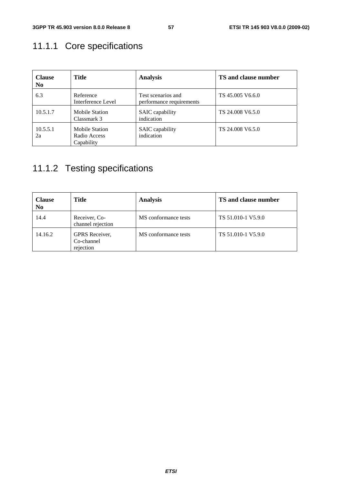# 11.1.1 Core specifications

| <b>Clause</b><br>N <sub>0</sub> | <b>Title</b>                                        | <b>Analysis</b>                                | <b>TS and clause number</b> |
|---------------------------------|-----------------------------------------------------|------------------------------------------------|-----------------------------|
| 6.3                             | Reference<br>Interference Level                     | Test scenarios and<br>performance requirements | TS 45.005 V6.6.0            |
| 10.5.1.7                        | <b>Mobile Station</b><br>Classmark 3                | <b>SAIC</b> capability<br>indication           | TS 24.008 V6.5.0            |
| 10.5.5.1<br>2a                  | <b>Mobile Station</b><br>Radio Access<br>Capability | <b>SAIC</b> capability<br>indication           | TS 24,008 V6.5.0            |

# 11.1.2 Testing specifications

| <b>Clause</b><br>N <sub>0</sub> | <b>Title</b>                              | <b>Analysis</b>      | TS and clause number |
|---------------------------------|-------------------------------------------|----------------------|----------------------|
| 14.4                            | Receiver, Co-<br>channel rejection        | MS conformance tests | TS 51.010-1 V5.9.0   |
| 14.16.2                         | GPRS Receiver,<br>Co-channel<br>rejection | MS conformance tests | TS 51.010-1 V5.9.0   |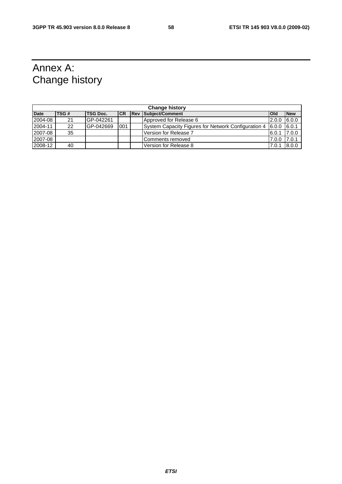# Annex A: Change history

| <b>Change history</b> |       |           |           |  |                                                     |              |            |  |  |
|-----------------------|-------|-----------|-----------|--|-----------------------------------------------------|--------------|------------|--|--|
| <b>Date</b>           | TSG # | TSG Doc.  | <b>CR</b> |  | <b>Rev Subject/Comment</b>                          | <b>l</b> Old | <b>New</b> |  |  |
| 2004-08               | 21    | GP-042261 |           |  | Approved for Release 6                              | 2.0.0        | 6.0.0      |  |  |
| 2004-11               | 22    | GP-042669 | 001       |  | System Capacity Figures for Network Configuration 4 | 6.0.0        | 6.0.1      |  |  |
| 2007-08               | 35    |           |           |  | Version for Release 7                               | 6.0.1        | 7.0.0      |  |  |
| 2007-08               |       |           |           |  | Comments removed                                    | 7.0.0        | 7.0.1      |  |  |
| 2008-12               | 40    |           |           |  | Version for Release 8                               | 7.0.1        | 8.0.0      |  |  |